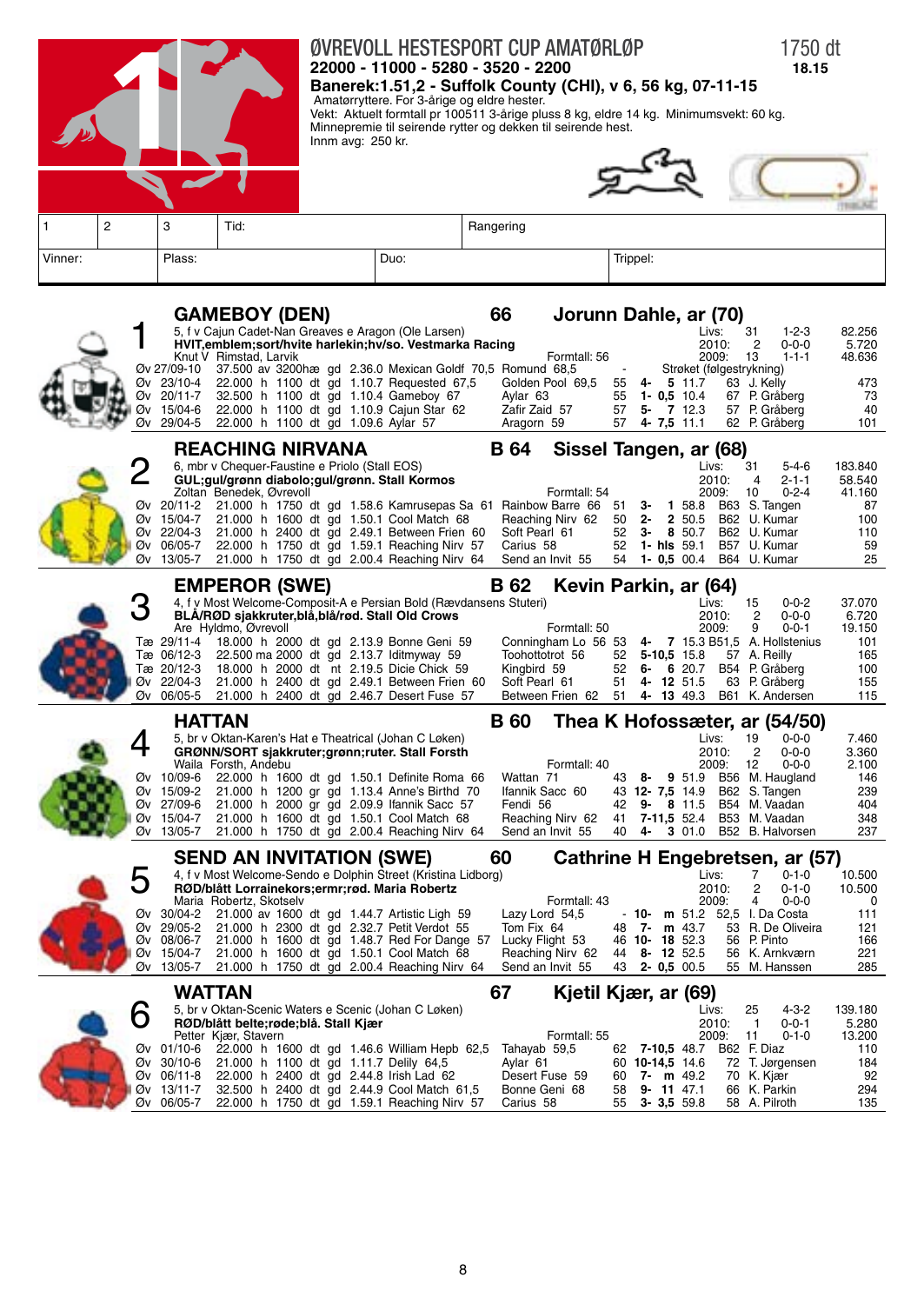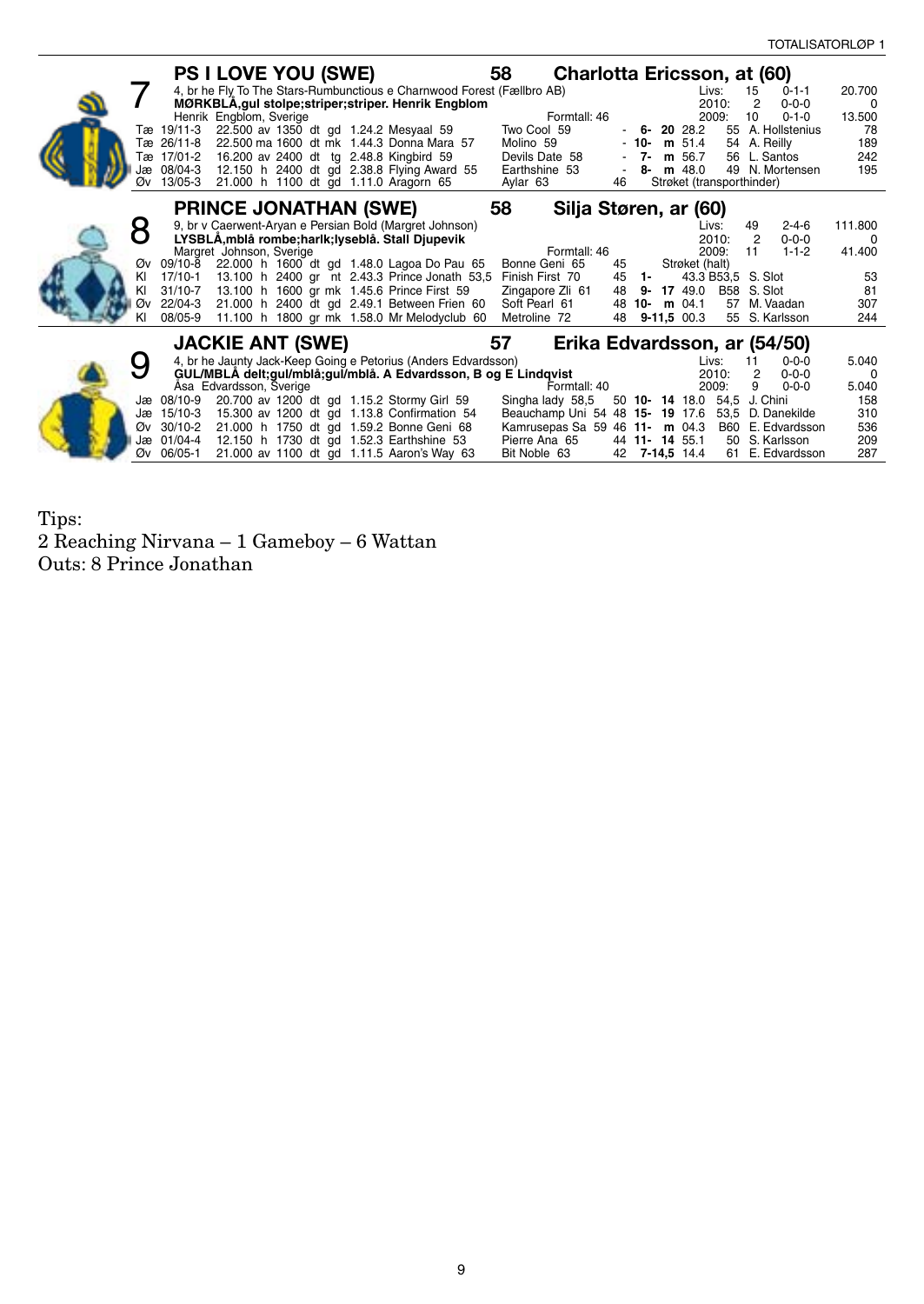| <b>PS I LOVE YOU (SWE)</b><br>58<br>Charlotta Ericsson, at (60)                                                                                                                                                                          |                    |
|------------------------------------------------------------------------------------------------------------------------------------------------------------------------------------------------------------------------------------------|--------------------|
| 4, br he Fly To The Stars-Rumbunctious e Charnwood Forest (Fællbro AB)<br>Livs:<br>$0 - 1 - 1$<br>15<br>2010:<br>2<br>$0 - 0 - 0$                                                                                                        | 20.700             |
| MØRKBLA, gul stolpe; striper; striper. Henrik Engblom<br>Formtall: 46<br>2009:<br>Henrik Engblom, Sverige<br>10<br>$0 - 1 - 0$                                                                                                           | $\Omega$<br>13.500 |
| Two Cool 59<br>Tæ 19/11-3<br>22.500 av 1350 dt gd 1.24.2 Mesyaal 59<br>$-6 - 2028.2$<br>55 A. Hollstenius                                                                                                                                | 78                 |
| 22.500 ma 1600 dt mk 1.44.3 Donna Mara 57<br>54 A. Reilly<br>Tæ 26/11-8<br>Molino 59<br>- 10-<br>$m$ 51.4                                                                                                                                | 189                |
| Tæ 17/01-2<br>16.200 av 2400 dt tg 2.48.8 Kingbird 59<br>Devils Date 58<br>$7-$<br>56 L. Santos<br>m 56.7                                                                                                                                | 242                |
| 12.150 h 2400 dt gd 2.38.8 Flying Award 55<br>Jæ 08/04-3<br>Earthshine 53<br>$m$ 48.0<br>49 N. Mortensen<br>8-                                                                                                                           | 195                |
| 21.000 h 1100 dt gd 1.11.0 Aragorn 65<br>Øv 13/05-3<br>Aylar 63<br>46<br>Strøket (transporthinder)                                                                                                                                       |                    |
| 58<br><b>PRINCE JONATHAN (SWE)</b><br>Silja Støren, ar (60)                                                                                                                                                                              |                    |
| 9, br v Caerwent-Aryan e Persian Bold (Margret Johnson)<br>$2 - 4 - 6$<br>Livs:<br>49                                                                                                                                                    | 111.800            |
| LYSBLÅ, mblå rombe; harlk; lyseblå. Stall Djupevik<br>$\overline{2}$<br>2010:<br>$0 - 0 - 0$                                                                                                                                             | $\Omega$           |
| 2009:<br>$1 - 1 - 2$<br>Margret Johnson, Sverige<br>Formtall: 46<br>11                                                                                                                                                                   | 41.400             |
| 22.000 h 1600 dt gd 1.48.0 Lagoa Do Pau 65<br>Bonne Geni 65<br>Strøket (halt)<br>Øv 09/10-8<br>45                                                                                                                                        |                    |
| 13.100 h 2400 gr nt 2.43.3 Prince Jonath 53.5 Finish First 70<br>KI<br>17/10-1<br>45<br>43.3 B53,5 S. Slot<br>- 1-                                                                                                                       | 53                 |
| 13.100 h 1600 gr mk 1.45.6 Prince First 59<br>ΚI<br>$31/10-7$<br>Zingapore Zli 61<br>17 49.0 B58 S. Slot<br>48<br>9-<br>21.000 h 2400 dt gd 2.49.1 Between Frien 60<br>Øv 22/04-3<br>Soft Pearl 61<br>48<br>10- m $04.1$<br>57 M. Vaadan | 81<br>307          |
| 08/05-9<br>11.100 h 1800 gr mk 1.58.0 Mr Melodyclub 60<br>$9-11,5$ 00.3<br>55 S. Karlsson<br>ΚI<br>Metroline 72<br>48                                                                                                                    | 244                |
|                                                                                                                                                                                                                                          |                    |
| <b>JACKIE ANT (SWE)</b><br>57<br>Erika Edvardsson, ar (54/50)                                                                                                                                                                            |                    |
| 4, br he Jaunty Jack-Keep Going e Petorius (Anders Edvardsson)<br>Livs:<br>11<br>$0 - 0 - 0$                                                                                                                                             | 5.040              |
| GUL/MBLA delt;gul/mblå;gul/mblå. A Edvardsson, B og E Lindqvist<br>2010:<br>$\overline{2}$<br>$0 - 0 - 0$                                                                                                                                | $\Omega$           |
| Formtall: 40<br>Åsa Edvardsson, Sverige<br>2009:<br>9<br>$0 - 0 - 0$                                                                                                                                                                     | 5.040              |
| 20.700 av 1200 dt gd 1.15.2 Stormy Girl 59<br>50 10- 14 18.0 54,5 J. Chini<br>Jæ 08/10-9<br>Singha lady 58,5                                                                                                                             | 158                |
| Beauchamp Uni 54 48 15- 19 17.6<br>Jæ 15/10-3<br>15.300 av 1200 dt gd 1.13.8 Confirmation 54<br>53,5 D. Danekilde                                                                                                                        | 310                |
| 21.000 h 1750 dt gd 1.59.2 Bonne Geni 68<br>Øv 30/10-2<br>Kamrusepas Sa 59 46 11- m 04.3<br>B60 E. Edvardsson<br>Jæ 01/04-4<br>12.150 h 1730 dt gd 1.52.3 Earthshine 53<br>44 11-14 55.1<br>50 S. Karlsson<br>Pierre Ana 65              | 536<br>209         |
| Øv 06/05-1<br>21.000 av 1100 dt gd 1.11.5 Aaron's Way 63<br>42 7-14,5 14.4<br>Bit Noble 63<br>61 E. Edvardsson                                                                                                                           | 287                |

Tips: 2 Reaching Nirvana – 1 Gameboy – 6 Wattan Outs: 8 Prince Jonathan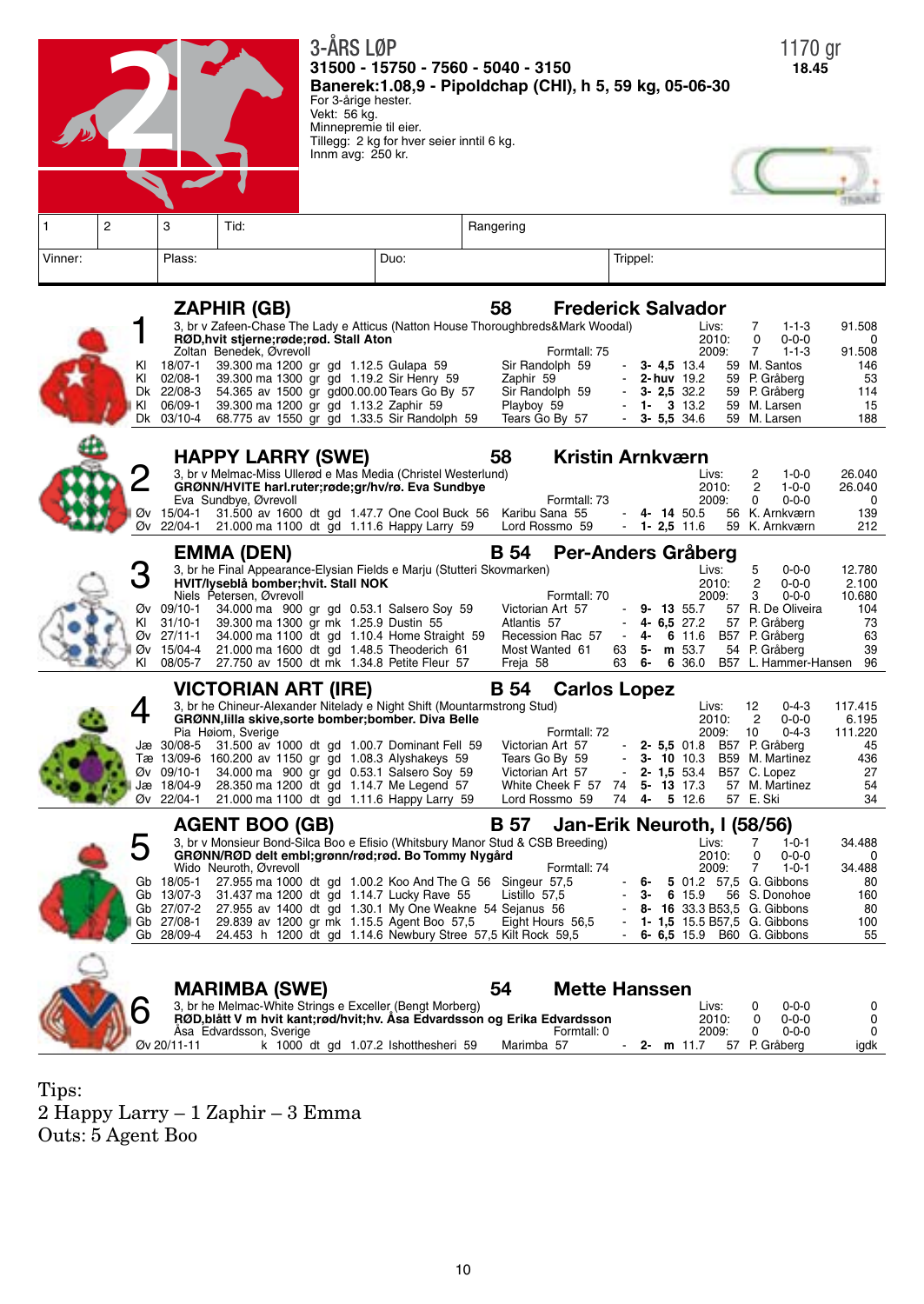

Tips: 2 Happy Larry – 1 Zaphir – 3 Emma Outs: 5 Agent Boo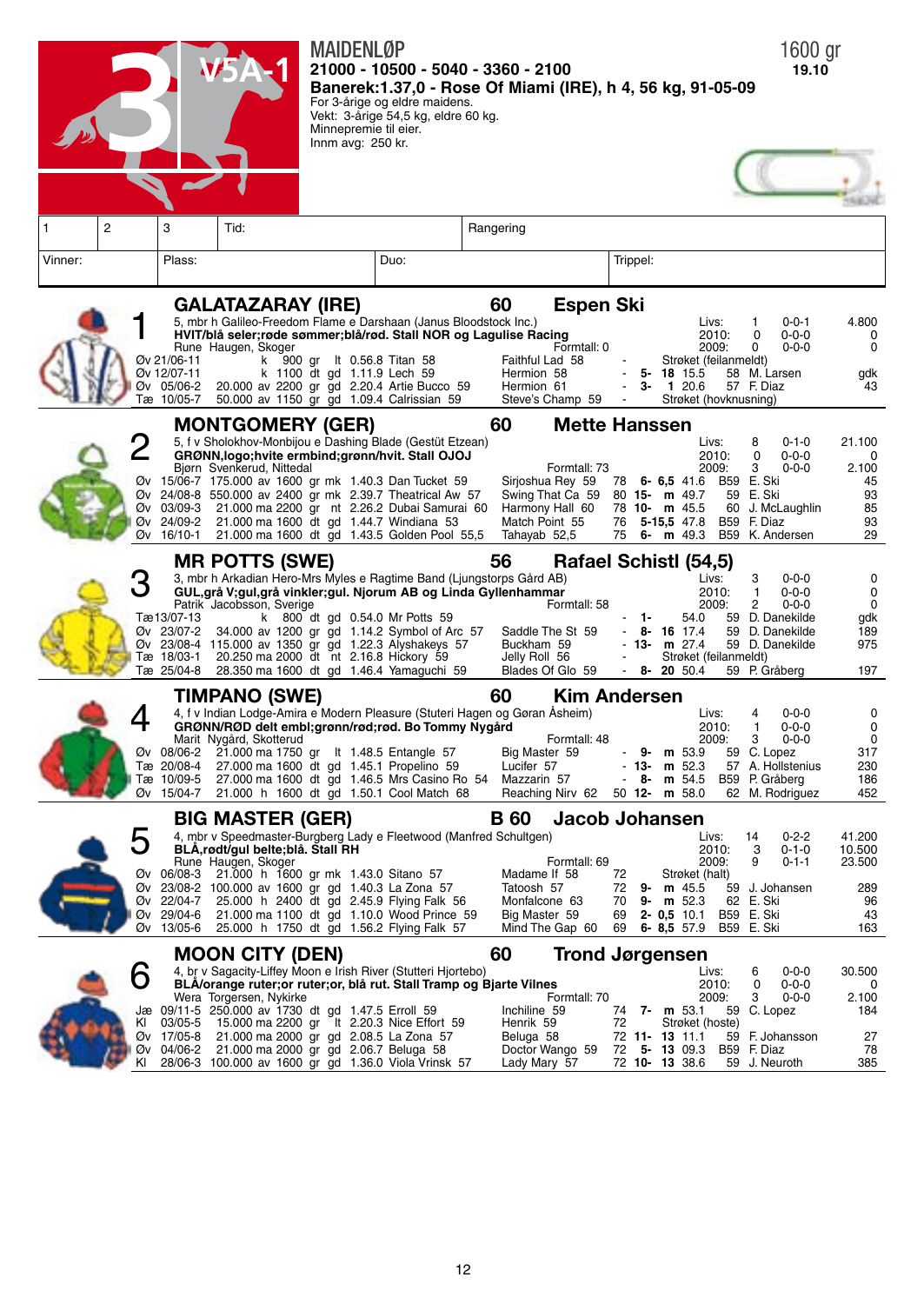|                                                         | <b>MAIDENL0P</b><br>21000 - 10500 - 5040 - 3360 - 2100<br>For 3-årige og eldre maidens.<br>Vekt: 3-årige 54,5 kg, eldre 60 kg.<br>Minnepremie til eier.                                                                                                                                                                                                                                                                                    | Banerek: 1.37,0 - Rose Of Miami (IRE), h 4, 56 kg, 91-05-09                                                                                                   | 1600 gr<br>19.10                                                                                                                                                                                                                                                                                                    |
|---------------------------------------------------------|--------------------------------------------------------------------------------------------------------------------------------------------------------------------------------------------------------------------------------------------------------------------------------------------------------------------------------------------------------------------------------------------------------------------------------------------|---------------------------------------------------------------------------------------------------------------------------------------------------------------|---------------------------------------------------------------------------------------------------------------------------------------------------------------------------------------------------------------------------------------------------------------------------------------------------------------------|
|                                                         | Innm avg: 250 kr.                                                                                                                                                                                                                                                                                                                                                                                                                          |                                                                                                                                                               |                                                                                                                                                                                                                                                                                                                     |
| 2<br>3<br>1                                             | Tid:                                                                                                                                                                                                                                                                                                                                                                                                                                       | Rangering                                                                                                                                                     |                                                                                                                                                                                                                                                                                                                     |
| Plass:<br>Vinner:                                       | Duo:                                                                                                                                                                                                                                                                                                                                                                                                                                       | Trippel:                                                                                                                                                      |                                                                                                                                                                                                                                                                                                                     |
| Øv 21/06-11<br>Øv 12/07-11<br>Øv 05/06-2<br>Tæ 10/05-7  | <b>GALATAZARAY (IRE)</b><br>5, mbr h Galileo-Freedom Flame e Darshaan (Janus Bloodstock Inc.)<br>HVIT/blå seler;røde sømmer;blå/rød. Stall NOR og Lagulise Racing<br>Rune Haugen, Skoger<br>k 900 gr lt 0.56.8 Titan 58<br>k 1100 dt gd 1.11.9 Lech 59<br>20.000 av 2200 gr gd 2.20.4 Artie Bucco 59<br>50.000 av 1150 gr gd 1.09.4 Calrissian 59                                                                                          | <b>Espen Ski</b><br>60<br>Formtall: 0<br>Faithful Lad 58<br>Hermion 58<br>Hermion 61<br>3-<br>Steve's Champ 59                                                | Livs:<br>1<br>$0 - 0 - 1$<br>4.800<br>2010:<br>0<br>$0 - 0 - 0$<br>0<br>2009:<br>0<br>$0 - 0 - 0$<br>0<br>Strøket (feilanmeldt)<br>5-18 15.5<br>58 M. Larsen<br>gdk<br>120.6<br>43<br>57 F. Diaz<br>Strøket (hovknusning)                                                                                           |
| Øv 03/09-3<br>Øv 24/09-2<br>16/10-1<br>Øv               | <b>MONTGOMERY (GER)</b><br>5, f v Sholokhov-Monbijou e Dashing Blade (Gestüt Etzean)<br>GRØNN, logo; hvite ermbind; grønn/hvit. Stall OJOJ<br>Bjørn Svenkerud, Nittedal<br>Øv 15/06-7 175.000 av 1600 gr mk 1.40.3 Dan Tucket 59<br>Øv 24/08-8 550.000 av 2400 gr mk 2.39.7 Theatrical Aw 57<br>21.000 ma 2200 gr nt 2.26.2 Dubai Samurai 60<br>21.000 ma 1600 dt gd 1.44.7 Windiana 53<br>21.000 ma 1600 dt gd 1.43.5 Golden Pool 55,5    | 60<br><b>Mette Hanssen</b><br>Formtall: 73<br>Sirjoshua Rey 59<br>Swing That Ca 59<br>Harmony Hall 60<br>Match Point 55<br>76<br>75<br>Tahayab 52,5<br>6-     | Livs:<br>8<br>$0 - 1 - 0$<br>21.100<br>2010:<br>$0 - 0 - 0$<br>0<br>0<br>2009:<br>3<br>$0 - 0 - 0$<br>2.100<br>78 6- 6,5 41.6 B59 E. Ski<br>45<br>93<br>80 15- m 49.7<br>59 E. Ski<br>J. McLaughlin<br>85<br>78 10- m 45.5<br>60<br>F. Diaz<br>93<br>5-15,5 47.8<br><b>B59</b><br>$m$ 49.3<br>B59 K. Andersen<br>29 |
| Tæ 13/07-13<br>Øv 23/07-2<br>Tæ 18/03-1<br>Tæ 25/04-8   | <b>MR POTTS (SWE)</b><br>3, mbr h Arkadian Hero-Mrs Myles e Ragtime Band (Ljungstorps Gård AB)<br>GUL, grå V; gul, grå vinkler; gul. Njorum AB og Linda Gyllenhammar<br>Patrik Jacobsson, Sverige<br>k 800 dt gd 0.54.0 Mr Potts 59<br>34.000 av 1200 gr gd 1.14.2 Symbol of Arc 57<br>Øv 23/08-4 115.000 av 1350 gr gd 1.22.3 Alyshakeys 57<br>20.250 ma 2000 dt nt 2.16.8 Hickory 59<br>28.350 ma 1600 dt gd 1.46.4 Yamaguchi 59         | 56<br>Rafael Schistl (54,5)<br>Formtall: 58<br>1-<br>Saddle The St 59<br>Buckham 59<br>13-<br>Jelly Roll 56<br>Blades Of Glo 59<br>8-                         | Livs:<br>3<br>$0 - 0 - 0$<br>0<br>1<br>0<br>2010:<br>$0 - 0 - 0$<br>2009:<br>2<br>$0 - 0 - 0$<br>0<br>54.0<br>59 D. Danekilde<br>gdk<br>59 D. Danekilde<br>$8 - 16$ 17.4<br>189<br>m 27.4<br>59 D. Danekilde<br>975<br>Strøket (feilanmeldt)<br>20 50.4<br>197<br>59 P. Gråberg                                     |
| Øv 08/06-2<br>Tæ 20/08-4<br>Tæ 10/09-5<br>Øv<br>15/04-7 | TIMPANO (SWE)<br>4, f v Indian Lodge-Amira e Modern Pleasure (Stuteri Hagen og Gøran Åsheim)<br>GRØNN/RØD delt embl;grønn/rød;rød. Bo Tommy Nygård<br>Marit Nygård, Skotterud<br>21.000 ma 1750 gr lt 1.48.5 Entangle 57<br>27.000 ma 1600 dt gd 1.45.1 Propelino 59<br>27.000 ma 1600 dt gd 1.46.5 Mrs Casino Ro 54<br>21.000 h 1600 dt gd 1.50.1 Cool Match 68                                                                           | <b>Kim Andersen</b><br>60<br>Formtall: 48<br>Big Master 59<br>Lucifer 57<br>$\overline{\phantom{a}}$<br>13-<br>- 8<br>Mazzarin 57<br>Reaching Nirv 62         | Livs:<br>4<br>$0 - 0 - 0$<br>0<br>2010:<br>$0 - 0 - 0$<br>$\mathbf 0$<br>1<br>2009:<br>3<br>$0 - 0 - 0$<br>0<br><b>9-m</b> 53.9<br>59 C. Lopez<br>317<br>230<br>57 A. Hollstenius<br>$m$ 52.3<br>186<br>m 54.5<br>B59<br>P. Gråberg<br>452<br>50 $12 - m$ 58.0<br>62 M. Rodriguez                                   |
| Øv 29/04-6<br>Øv 13/05-6                                | <b>BIG MASTER (GER)</b><br>4, mbr v Speedmaster-Burgberg Lady e Fleetwood (Manfred Schultgen)<br>BLA,rødt/gul belte;blå. Stall RH<br>Rune Haugen, Skoger<br>Øv 06/08-3 21.000 h 1600 gr mk 1.43.0 Sitano 57<br>Øv 23/08-2 100.000 av 1600 gr gd 1.40.3 La Zona 57<br>Øv 22/04-7 25.000 h 2400 dt gd 2.45.9 Flying Falk 56<br>21.000 ma 1100 dt gd 1.10.0 Wood Prince 59<br>25.000 h 1750 dt gd 1.56.2 Flying Falk 57                       | B 60<br>Jacob Johansen<br>Formtall: 69<br>Madame If 58<br>72<br>Tatoosh 57<br>72<br>9-<br>Monfalcone 63<br>70<br>Big Master 59<br>69<br>Mind The Gap 60<br>69 | 14<br>$0 - 2 - 2$<br>41.200<br>Livs:<br>3<br>$0 - 1 - 0$<br>2010:<br>10.500<br>2009:<br>9<br>$0 - 1 - 1$<br>23.500<br>Strøket (halt)<br>289<br>59 J. Johansen<br>m 45.5<br>$9 - m$ 52.3<br>62 E. Ski<br>96<br>$2 - 0.5$ 10.1<br>B59 E. Ski<br>43<br>$6 - 8,5 57.9$<br>B59 E. Ski<br>163                             |
| 6<br>KI 03/05-5<br>Øv 17/05-8<br>Øv 04/06-2<br>KI       | <b>MOON CITY (DEN)</b><br>4, br v Sagacity-Liffey Moon e Irish River (Stutteri Hjortebo)<br>BLÅ/orange ruter; or ruter; or, blå rut. Stall Tramp og Bjarte Vilnes<br>Wera Torgersen, Nykirke<br>Jæ 09/11-5 250.000 av 1730 dt gd 1.47.5 Erroll 59<br>15.000 ma 2200 gr lt 2.20.3 Nice Effort 59<br>21.000 ma 2000 gr gd 2.08.5 La Zona 57<br>21.000 ma 2000 gr gd 2.06.7 Beluga 58<br>28/06-3 100.000 av 1600 gr gd 1.36.0 Viola Vrinsk 57 | 60<br><b>Trond Jørgensen</b><br>Formtall: 70<br>Inchiline 59<br>Henrik 59<br>72<br>Beluga 58<br>Doctor Wango 59<br>Lady Mary 57                               | Livs:<br>$0 - 0 - 0$<br>30.500<br>6<br>2010:<br>0<br>$0 - 0 - 0$<br>0<br>2009:<br>3<br>$0 - 0 - 0$<br>2.100<br>59 C. Lopez<br>74 7- m 53.1<br>184<br>Strøket (hoste)<br>72 11 13 11.1<br>27<br>59 F. Johansson<br>72 5 13 09.3<br>B59 F. Diaz<br>78<br>72 10 13 38.6<br>59 J. Neuroth<br>385                        |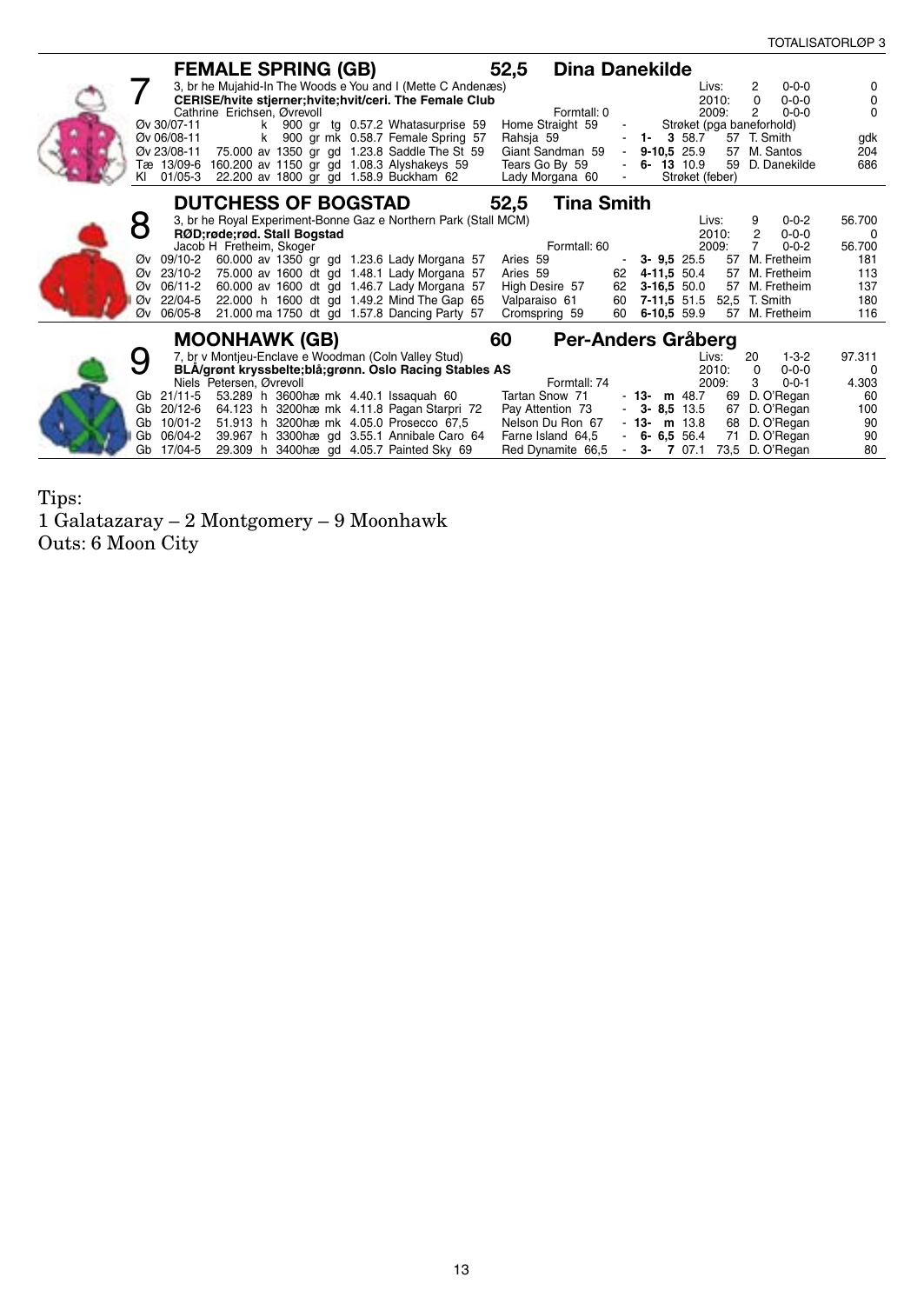|                                                                                | <b>FEMALE SPRING (GB)</b>                                                                                                              |                                                                                                                                                                                                                                                                                                            | 52,5<br>Dina Danekilde                                                                                           |                                                                                                                            |                                                                                                                                     |                                                            |
|--------------------------------------------------------------------------------|----------------------------------------------------------------------------------------------------------------------------------------|------------------------------------------------------------------------------------------------------------------------------------------------------------------------------------------------------------------------------------------------------------------------------------------------------------|------------------------------------------------------------------------------------------------------------------|----------------------------------------------------------------------------------------------------------------------------|-------------------------------------------------------------------------------------------------------------------------------------|------------------------------------------------------------|
| Øv 30/07-11<br>Øv 06/08-11<br>Øv 23/08-11<br>KI                                | Cathrine Erichsen, Øvrevoll<br>Tæ 13/09-6 160.200 av 1150 gr gd 1.08.3 Alyshakeys 59<br>01/05-3 22.200 av 1800 gr gd 1.58.9 Buckham 62 | 3, br he Mujahid-In The Woods e You and I (Mette C Andenæs)<br>CERISE/hvite stjerner; hvite; hvit/ceri. The Female Club<br>k 900 gr tg 0.57.2 Whatasurprise 59<br>k 900 gr mk 0.58.7 Female Spring 57<br>75.000 av 1350 gr gd 1.23.8 Saddle The St 59                                                      | Formtall: 0<br>Home Straight 59<br>Rahsja 59<br>Giant Sandman 59<br>Tears Go By 59<br>Lady Morgana 60            | Livs:<br>2010:<br>2009:<br>Strøket (pga baneforhold)<br>$1 - 358.7$<br>$-9-10.525.9$<br>6-13 10.9<br>59<br>Strøket (feber) | $0 - 0 - 0$<br>2<br>$\Omega$<br>$0 - 0 - 0$<br>$0 - 0 - 0$<br>2<br>57 T. Smith<br>57 M. Santos<br>D. Danekilde                      | $\Omega$<br>0<br>$\Omega$<br>gdk<br>204<br>686             |
|                                                                                | <b>DUTCHESS OF BOGSTAD</b>                                                                                                             |                                                                                                                                                                                                                                                                                                            | <b>Tina Smith</b><br>52,5                                                                                        |                                                                                                                            |                                                                                                                                     |                                                            |
| Øv 09/10-2<br>23/10-2<br>Øv<br>06/11-2<br>Øv<br>22/04-5<br>Øv<br>Øv<br>06/05-8 | RØD;røde;rød. Stall Bogstad<br>Jacob H Fretheim, Skoger                                                                                | 3, br he Royal Experiment-Bonne Gaz e Northern Park (Stall MCM)<br>60.000 av 1350 gr gd 1.23.6 Lady Morgana 57<br>75.000 av 1600 dt gd 1.48.1 Lady Morgana 57<br>60.000 av 1600 dt gd 1.46.7 Lady Morgana 57<br>22.000 h 1600 dt gd 1.49.2 Mind The Gap 65<br>21.000 ma 1750 dt gd 1.57.8 Dancing Party 57 | Formtall: 60<br>Aries 59<br>Aries 59<br>62<br>High Desire 57<br>62<br>Valparaiso 61<br>60<br>Cromspring 59<br>60 | Livs:<br>2010:<br>2009:<br>$3 - 9.5$ 25.5<br>57<br>4-11,5 50.4<br>57<br>$3-16,550.0$<br>$7-11,551.5$<br>6-10.5 59.9<br>57  | 9<br>$0 - 0 - 2$<br>2<br>$0 - 0 - 0$<br>$0 - 0 - 2$<br>M. Fretheim<br>M. Fretheim<br>57 M. Fretheim<br>52.5 T. Smith<br>M. Fretheim | 56.700<br>- 0<br>56.700<br>181<br>113<br>137<br>180<br>116 |
|                                                                                | <b>MOONHAWK (GB)</b>                                                                                                                   |                                                                                                                                                                                                                                                                                                            | 60                                                                                                               | Per-Anders Gräberg                                                                                                         |                                                                                                                                     |                                                            |
| Gb 21/11-5                                                                     | 7, br v Montjeu-Enclave e Woodman (Coln Valley Stud)<br>Niels Petersen, Øvrevoll<br>53.289 h 3600 hæm k 4.40.1 Issaguah 60             | BLA/grønt kryssbelte;blå;grønn. Oslo Racing Stables AS                                                                                                                                                                                                                                                     | Formtall: 74<br>Tartan Snow 71                                                                                   | Livs:<br>2010:<br>2009:<br>$-13 - m$ 48.7<br>69                                                                            | $1 - 3 - 2$<br>20<br>$0 - 0 - 0$<br>$\Omega$<br>3<br>$0 - 0 - 1$<br>D. O'Regan                                                      | 97.311<br>0<br>4.303<br>60                                 |
| Gb 20/12-6<br>10/01-2<br>Gb<br>06/04-2<br>Gb<br>17/04-5<br>Gb                  |                                                                                                                                        | 64.123 h 3200hæ mk 4.11.8 Pagan Starpri 72<br>51.913 h 3200 hæ m k 4.05.0 Prosecco 67,5<br>39.967 h 3300 hæ gd 3.55.1 Annibale Caro 64<br>29.309 h 3400 hae gd 4.05.7 Painted Sky 69                                                                                                                       | Pay Attention 73<br>Nelson Du Ron 67<br>Farne Island 64,5<br>Red Dynamite 66,5                                   | $-3 - 8.5$ 13.5<br>67<br>$-13 - m$ 13.8<br>68<br>$-6 - 6.556.4$<br>71<br>$-3 - 707.1$                                      | D. O'Regan<br>D. O'Regan<br>D. O'Regan<br>73,5 D. O'Regan                                                                           | 100<br>90<br>90<br>80                                      |

Tips: 1 Galatazaray – 2 Montgomery – 9 Moonhawk Outs: 6 Moon City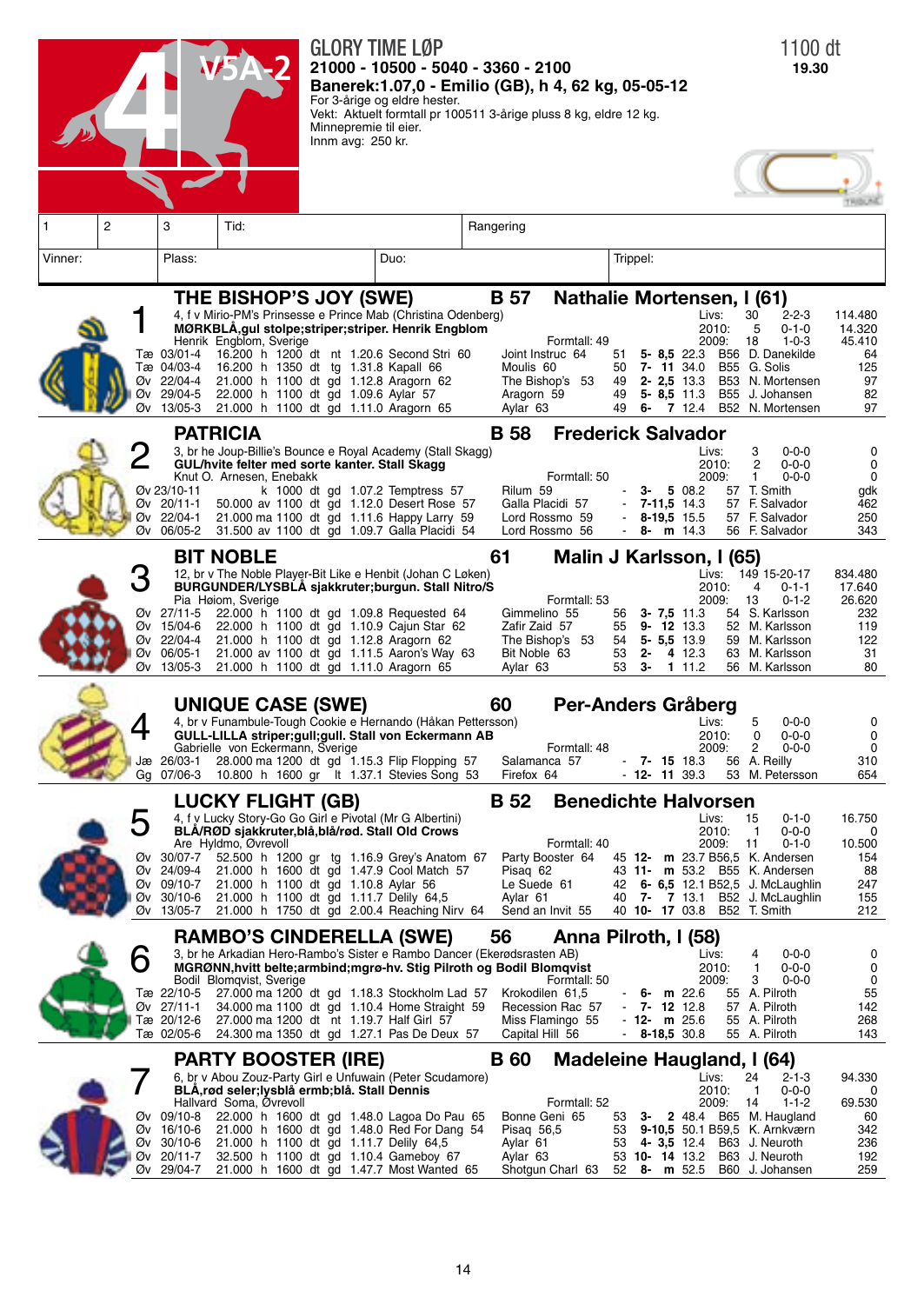|         |                |                                                                 |                                                                                                                                                                                                                                                                                                                                                                                           |                                            | GLORY TIME LØP<br>21000 - 10500 - 5040 - 3360 - 2100<br>Banerek: 1.07,0 - Emilio (GB), h 4, 62 kg, 05-05-12                                                                  |                                                                 |                                                                                                   |                            |                                                                  |                                                        |                            | 1100 dt<br>19.30                                                                                                                                                                                                                       |                                                              |
|---------|----------------|-----------------------------------------------------------------|-------------------------------------------------------------------------------------------------------------------------------------------------------------------------------------------------------------------------------------------------------------------------------------------------------------------------------------------------------------------------------------------|--------------------------------------------|------------------------------------------------------------------------------------------------------------------------------------------------------------------------------|-----------------------------------------------------------------|---------------------------------------------------------------------------------------------------|----------------------------|------------------------------------------------------------------|--------------------------------------------------------|----------------------------|----------------------------------------------------------------------------------------------------------------------------------------------------------------------------------------------------------------------------------------|--------------------------------------------------------------|
|         |                |                                                                 |                                                                                                                                                                                                                                                                                                                                                                                           | Minnepremie til eier.<br>Innm avg: 250 kr. | For 3-årige og eldre hester.<br>Vekt: Aktuelt formtall pr 100511 3-årige pluss 8 kg, eldre 12 kg.                                                                            |                                                                 |                                                                                                   |                            |                                                                  |                                                        |                            |                                                                                                                                                                                                                                        |                                                              |
|         |                |                                                                 |                                                                                                                                                                                                                                                                                                                                                                                           |                                            |                                                                                                                                                                              |                                                                 |                                                                                                   |                            |                                                                  |                                                        |                            |                                                                                                                                                                                                                                        |                                                              |
| 1       | $\overline{2}$ | 3                                                               | Tid:                                                                                                                                                                                                                                                                                                                                                                                      |                                            |                                                                                                                                                                              | Rangering                                                       |                                                                                                   |                            |                                                                  |                                                        |                            |                                                                                                                                                                                                                                        |                                                              |
| Vinner: |                | Plass:                                                          |                                                                                                                                                                                                                                                                                                                                                                                           |                                            | Duo:                                                                                                                                                                         |                                                                 |                                                                                                   | Trippel:                   |                                                                  |                                                        |                            |                                                                                                                                                                                                                                        |                                                              |
|         | Øv             | Tæ 03/01-4<br>Tæ 04/03-4<br>Øv 22/04-4<br>Øv 29/04-5<br>13/05-3 | THE BISHOP'S JOY (SWE)<br>4, f v Mirio-PM's Prinsesse e Prince Mab (Christina Odenberg)<br>MØRKBLA, gul stolpe; striper; striper. Henrik Engblom<br>Henrik Engblom, Sverige<br>16.200 h 1200 dt nt 1.20.6 Second Stri 60<br>16.200 h 1350 dt tg 1.31.8 Kapall 66<br>21.000 h 1100 dt gd 1.12.8 Aragorn 62<br>22.000 h 1100 dt gd 1.09.6 Aylar 57<br>21.000 h 1100 dt gd 1.11.0 Aragorn 65 |                                            |                                                                                                                                                                              | <b>B</b> 57<br>Moulis 60<br>Aragorn 59<br>Aylar 63              | Nathalie Mortensen, I (61)<br>Formtall: 49<br>Joint Instruc 64<br>The Bishop's 53                 | 51<br>50<br>49<br>49<br>49 |                                                                  | Livs:<br>7-11 34.0<br>$2 - 2.5$ 13.3<br>$5 - 8,5$ 11.3 | 2010:<br>2009:             | 30<br>$2 - 2 - 3$<br>5<br>$0 - 1 - 0$<br>18<br>$1 - 0 - 3$<br>5- 8,5 22.3 B56 D. Danekilde<br>B55 G. Solis<br>B53 N. Mortensen<br>B55 J. Johansen<br>6- 7 12.4 B52 N. Mortensen                                                        | 114.480<br>14.320<br>45.410<br>64<br>125<br>97<br>82<br>97   |
|         | 2<br>Øv        | Øv 23/10-11<br>Øv 20/11-1<br>Øv 22/04-1<br>06/05-2              | <b>PATRICIA</b><br>3, br he Joup-Billie's Bounce e Royal Academy (Stall Skagg)<br>GUL/hvite felter med sorte kanter. Stall Skagg<br>Knut O. Arnesen, Enebakk                                                                                                                                                                                                                              |                                            | k 1000 dt gd 1.07.2 Temptress 57<br>50.000 av 1100 dt gd 1.12.0 Desert Rose 57<br>21.000 ma 1100 dt gd 1.11.6 Happy Larry 59<br>31.500 av 1100 dt gd 1.09.7 Galla Placidi 54 | <b>B</b> 58<br>Rilum 59                                         | <b>Frederick Salvador</b><br>Formtall: 50<br>Galla Placidi 57<br>Lord Rossmo 59<br>Lord Rossmo 56 |                            | з-<br>$7 - 11,5$ 14.3<br>8-19,5 15.5<br>8-                       | Livs:<br>5 08.2<br>m 14.3                              | 2010:<br>2009:             | 3<br>$0 - 0 - 0$<br>$\overline{2}$<br>$0 - 0 - 0$<br>$0 - 0 - 0$<br>1<br>57 T. Smith<br>57 F. Salvador<br>57 F. Salvador<br>56 F. Salvador                                                                                             | 0<br>0<br>0<br>gdk<br>462<br>250<br>343                      |
|         | Øv             | Øv 27/11-5<br>Øv 15/04-6<br>Øv 22/04-4<br>Øv 06/05-1<br>13/05-3 | <b>BIT NOBLE</b><br>12, br v The Noble Player-Bit Like e Henbit (Johan C Løken)<br>BURGUNDER/LYSBLA sjakkruter;burgun. Stall Nitro/S<br>Pia Høiom, Sverige<br>21.000 h 1100 dt gd 1.12.8 Aragorn 62<br>21.000 h 1100 dt gd 1.11.0 Aragorn 65                                                                                                                                              |                                            | 22.000 h 1100 dt gd 1.09.8 Requested 64<br>22.000 h 1100 dt gd 1.10.9 Cajun Star 62<br>21.000 av 1100 dt gd 1.11.5 Aaron's Way 63                                            | 61<br>Gimmelino 55<br>Zafir Zaid 57<br>Bit Noble 63<br>Aylar 63 | Malin J Karlsson, I (65)<br>Formtall: 53<br>The Bishop's 53                                       | 56<br>55<br>54<br>53<br>53 | $3 - 7.5$ 11.3<br>$9 - 12$ 13.3<br>$5 - 5,5$ 13.9<br>$2 -$<br>з- | 4 12.3<br>1 11.2                                       | 2010:<br>2009:<br>59<br>56 | Livs: 149 15-20-17<br>$0 - 1 - 1$<br>4<br>13<br>$0 - 1 - 2$<br>54 S. Karlsson<br>52 M. Karlsson<br>M. Karlsson<br>63 M. Karlsson<br>M. Karlsson                                                                                        | 834.480<br>17.640<br>26.620<br>232<br>119<br>122<br>31<br>80 |
|         | Gg             | Jæ 26/03-1<br>07/06-3                                           | UNIQUE CASE (SWE)<br>4, br v Funambule-Tough Cookie e Hernando (Håkan Pettersson)<br>GULL-LILLA striper;gull;gull. Stall von Eckermann AB<br>Gabrielle von Eckermann, Sverige                                                                                                                                                                                                             |                                            | 28.000 ma 1200 dt gd 1.15.3 Flip Flopping 57<br>10.800 h 1600 gr lt 1.37.1 Stevies Song 53                                                                                   | 60<br>Firefox 64                                                | Per-Anders Gråberg<br>Formtall: 48<br>Salamanca 57                                                |                            | $-7 - 15$ 18.3<br>$-12 - 11$ 39.3                                | Livs:                                                  | 2010:<br>2009:             | $0 - 0 - 0$<br>5<br>$\Omega$<br>$0 - 0 - 0$<br>2<br>$0 - 0 - 0$<br>56 A. Reilly<br>53 M. Petersson                                                                                                                                     | 0<br>0<br>0<br>310<br>654                                    |
|         | h              | Øv 24/09-4<br>Øv 13/05-7                                        | <b>LUCKY FLIGHT (GB)</b><br>4, f y Lucky Story-Go Go Girl e Pivotal (Mr G Albertini)<br>BLÅ/RØD sjakkruter, blå, blå/rød. Stall Old Crows<br>Are Hyldmo, Øvrevoll<br>Øv 30/07-7 52.500 h 1200 gr tg 1.16.9 Grey's Anatom 67<br>Øv 09/10-7  21.000 h 1100 dt gd 1.10.8 Aylar 56<br>Øv 30/10-6 21.000 h 1100 dt gd 1.11.7 Delily 64,5                                                       |                                            | 21.000 h 1600 dt gd 1.47.9 Cool Match 57<br>21.000 h 1750 dt gd 2.00.4 Reaching Nirv 64                                                                                      | <b>B</b> 52<br>Pisag 62<br>Le Suede 61<br>Aylar 61              | <b>Benedichte Halvorsen</b><br>Formtall: 40<br>Party Booster 64<br>Send an Invit 55               |                            |                                                                  | Livs:                                                  | 2010:<br>2009:             | 15<br>$0 - 1 - 0$<br>$0 - 0 - 0$<br>-1<br>$0 - 1 - 0$<br>11<br>45 12- m 23.7 B56.5 K. Andersen<br>43 11- m 53.2 B55 K. Andersen<br>42 6- 6,5 12.1 B52,5 J. McLaughlin<br>40 7- 7 13.1 B52 J. McLaughlin<br>40 10- 17 03.8 B52 T. Smith | 16.750<br>0<br>10.500<br>154<br>88<br>247<br>155<br>212      |
|         | 6              | Tæ 22/10-5<br>Øv 27/11-1<br>Tæ 20/12-6<br>Tæ 02/05-6            | RAMBO'S CINDERELLA (SWE)<br>3, br he Arkadian Hero-Rambo's Sister e Rambo Dancer (Ekerødsrasten AB)<br>MGRØNN, hvitt belte; armbind; mgrø-hv. Stig Pilroth og Bodil Blomqvist<br>Bodil Blomqvist, Sverige<br>27.000 ma 1200 dt nt 1.19.7 Half Girl 57                                                                                                                                     |                                            | 27.000 ma 1200 dt gd 1.18.3 Stockholm Lad 57<br>34.000 ma 1100 dt gd 1.10.4 Home Straight 59<br>24.300 ma 1350 dt gd 1.27.1 Pas De Deux 57                                   | 56<br>Capital Hill 56                                           | Anna Pilroth, I (58)<br>Formtall: 50<br>Krokodilen 61,5<br>Recession Rac 57<br>Miss Flamingo 55   |                            | $6 - m$ 22.6<br>$-7 - 12$ 12.8<br>$-12 - m$ 25.6<br>8-18,5 30.8  | Livs:                                                  | 2010:<br>2009:             | 4<br>$0 - 0 - 0$<br>1<br>$0 - 0 - 0$<br>3<br>$0 - 0 - 0$<br>55 A. Pilroth<br>57 A. Pilroth<br>55 A. Pilroth<br>55 A. Pilroth                                                                                                           | 0<br>0<br>0<br>55<br>142<br>268<br>143                       |
|         | Øv             | Øv 09/10-8<br>Øv 16/10-6<br>Øv 30/10-6<br>Øv 20/11-7<br>29/04-7 | <b>PARTY BOOSTER (IRE)</b><br>6, br v Abou Zouz-Party Girl e Unfuwain (Peter Scudamore)<br>BLÅ, rød seler; lysblå ermb; blå. Stall Dennis<br>Hallvard Soma, Øvrevoll<br>22.000 h 1600 dt gd 1.48.0 Lagoa Do Pau 65<br>21.000 h 1100 dt gd 1.11.7 Delily 64,5                                                                                                                              |                                            | 21.000 h 1600 dt gd 1.48.0 Red For Dang 54<br>32.500 h 1100 dt gd 1.10.4 Gameboy 67<br>21.000 h 1600 dt gd 1.47.7 Most Wanted 65                                             | <b>B</b> 60<br>Pisag 56,5<br>Aylar 61<br>Aylar 63               | Madeleine Haugland, I (64)<br>Formtall: 52<br>Bonne Geni 65<br>Shotgun Charl 63 52                | 53<br>53                   | з-                                                               | $8 - m 52.5$                                           | Livs:<br>2010:<br>2009:    | $2 - 1 - 3$<br>24<br>$0 - 0 - 0$<br>-1<br>$1 - 1 - 2$<br>14<br>2 48.4 B65 M. Haugland<br>9-10,5 50.1 B59,5 K. Arnkværn<br>53 4- 3,5 12.4 B63 J. Neuroth<br>53 10- 14 13.2 B63 J. Neuroth<br>B60 J. Johansen                            | 94.330<br>0<br>69.530<br>60<br>342<br>236<br>192<br>259      |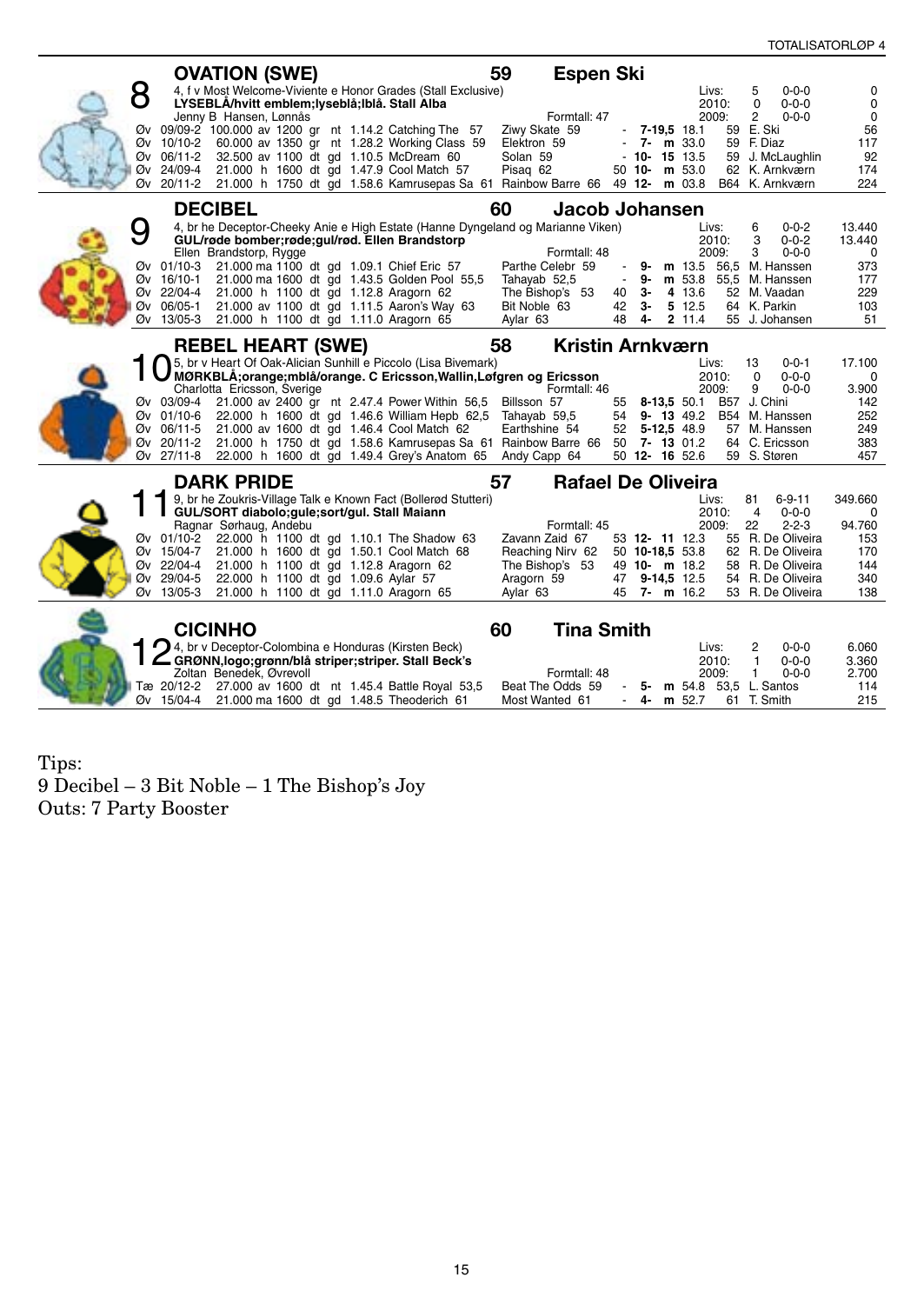|    |                          | <b>OVATION (SWE)</b>                                                              |                                                                     | 59<br><b>Espen Ski</b>                                                                |              |          |                                  |                                                   |                    |
|----|--------------------------|-----------------------------------------------------------------------------------|---------------------------------------------------------------------|---------------------------------------------------------------------------------------|--------------|----------|----------------------------------|---------------------------------------------------|--------------------|
| 8  |                          | LYSEBLÅ/hvitt emblem;lyseblå;lblå. Stall Alba                                     | 4, f v Most Welcome-Viviente e Honor Grades (Stall Exclusive)       |                                                                                       |              |          | Livs:<br>2010:                   | 5<br>$0 - 0 - 0$<br>$0 - 0 - 0$<br>$\Omega$       | 0<br>$\mathbf 0$   |
|    |                          | Jenny B Hansen, Lønnås                                                            | Øv 09/09-2 100.000 av 1200 gr nt 1.14.2 Catching The 57             | Formtall: 47<br>Ziwy Skate 59                                                         |              |          | 2009:<br>$-7 - 19.5$ 18.1        | $\overline{2}$<br>$0 - 0 - 0$<br>59 E. Ski        | $\mathbf 0$<br>56  |
|    | Øv 10/10-2<br>Øv 06/11-2 | 32.500 av 1100 dt gd 1.10.5 McDream 60                                            | 60.000 av 1350 gr nt 1.28.2 Working Class 59                        | Elektron 59<br>Solan 59                                                               |              |          | $-7 - m$ 33.0<br>$-10 - 15$ 13.5 | 59 F. Diaz<br>59 J. McLaughlin                    | 117<br>92          |
| Øν | 24/09-4                  | 21.000 h 1600 dt gd 1.47.9 Cool Match 57                                          |                                                                     | Pisag 62                                                                              |              |          | 50 10- m 53.0                    | 62 K. Arnkværn                                    | 174                |
|    |                          |                                                                                   |                                                                     | Øv 20/11-2 21.000 h 1750 dt gd 1.58.6 Kamrusepas Sa 61 Rainbow Barre 66 49 12- m 03.8 |              |          |                                  | B64 K. Arnkværn                                   | 224                |
|    | <b>DECIBEL</b>           |                                                                                   |                                                                     | 60<br>Jacob Johansen                                                                  |              |          |                                  | $0 - 0 - 2$                                       |                    |
| O  |                          | GUL/røde bomber;røde;gul/rød. Ellen Brandstorp                                    |                                                                     | 4, br he Deceptor-Cheeky Anie e High Estate (Hanne Dyngeland og Marianne Viken)       |              |          | Livs:<br>2010:                   | 6<br>3<br>$0 - 0 - 2$                             | 13.440<br>13.440   |
|    | Øv 01/10-3               | Ellen Brandstorp, Rygge<br>21.000 ma 1100 dt gd 1.09.1 Chief Eric 57              |                                                                     | Formtall: 48<br>Parthe Celebr 59                                                      |              | 9-       | 2009:                            | $0 - 0 - 0$<br>3<br><b>m</b> 13.5 56.5 M. Hanssen | $\mathbf 0$<br>373 |
|    | Øv 16/10-1<br>Øv 22/04-4 | 21.000 h 1100 dt gd 1.12.8 Aragorn 62                                             | 21.000 ma 1600 dt gd 1.43.5 Golden Pool 55,5                        | Tahayab 52,5<br>The Bishop's 53                                                       | $\sim$<br>40 | 9-<br>3- | 4 13.6                           | m 53.8 55,5 M. Hanssen<br>52 M. Vaadan            | 177<br>229         |
| Øν | 06/05-1                  |                                                                                   | 21.000 av 1100 dt gd 1.11.5 Aaron's Way 63                          | Bit Noble 63                                                                          | 42           | з-       | 5 12.5                           | 64 K. Parkin                                      | 103                |
| Øv | 13/05-3                  | 21.000 h 1100 dt gd 1.11.0 Aragorn 65                                             |                                                                     | Aylar 63                                                                              | 48           | 4-       | 2 11.4                           | 55 J. Johansen                                    | 51                 |
|    |                          | <b>REBEL HEART (SWE)</b>                                                          | 5. br v Heart Of Oak-Alician Sunhill e Piccolo (Lisa Bivemark)      | <b>Kristin Arnkværn</b><br>58                                                         |              |          | Livs:                            | 13<br>$0 - 0 - 1$                                 | 17.100             |
|    |                          |                                                                                   | MØRKBLÅ;orange;mblå/orange. C Ericsson, Wallin, Løfgren og Ericsson |                                                                                       |              |          | 2010:                            | $0 - 0 - 0$<br>$\Omega$                           | $\mathbf 0$        |
|    |                          | Charlotta Ericsson, Sverige                                                       | Øv 03/09-4 21.000 av 2400 gr nt 2.47.4 Power Within 56,5            | Formtall: 46<br>Billsson 57                                                           | 55           |          | 2009:<br>8-13,5 50.1             | 9<br>$0 - 0 - 0$<br>B57 J. Chini                  | 3.900<br>142       |
|    | Øv 01/10-6<br>Øv 06/11-5 | 21.000 av 1600 dt gd 1.46.4 Cool Match 62                                         | 22.000 h 1600 dt gd 1.46.6 William Hepb 62,5                        | Tahayab 59,5<br>Earthshine 54                                                         | 54           |          | $9 - 13$ 49.2<br>52 5-12,5 48.9  | B54 M. Hanssen<br>57 M. Hanssen                   | 252<br>249         |
| Øv | 20/11-2                  |                                                                                   |                                                                     | 21.000 h 1750 dt gd 1.58.6 Kamrusepas Sa 61 Rainbow Barre 66 50 7- 13 01.2            |              |          |                                  | 64 C. Ericsson                                    | 383                |
|    |                          |                                                                                   | Øv 27/11-8 22.000 h 1600 dt gd 1.49.4 Grey's Anatom 65              | Andy Capp 64                                                                          |              |          | 50 12- 16 52.6                   | 59 S. Støren                                      | 457                |
|    |                          | <b>DARK PRIDE</b>                                                                 | 9, br he Zoukris-Village Talk e Known Fact (Bollerød Stutteri)      | <b>Rafael De Oliveira</b><br>57                                                       |              |          | Livs:                            | 81<br>$6 - 9 - 11$                                | 349.660            |
|    |                          | GUL/SORT diabolo;gule;sort/gul. Stall Maiann                                      |                                                                     |                                                                                       |              |          | 2010:                            | $\overline{4}$<br>$0 - 0 - 0$                     | $\mathbf 0$        |
|    |                          | Ragnar Sørhaug, Andebu                                                            | Øv 01/10-2 22.000 h 1100 dt gd 1.10.1 The Shadow 63                 | Formtall: 45<br>Zavann Zaid 67                                                        |              |          | 2009:<br>53 12- 11 12.3          | 22<br>$2 - 2 - 3$<br>55 R. De Oliveira            | 94.760<br>153      |
|    | Øv 15/04-7<br>Øv 22/04-4 | 21.000 h 1600 dt gd 1.50.1 Cool Match 68<br>21.000 h 1100 dt gd 1.12.8 Aragorn 62 |                                                                     | Reaching Nirv 62<br>The Bishop's 53                                                   |              |          | 50 10-18,5 53.8<br>49 10- m 18.2 | 62 R. De Oliveira<br>58 R. De Oliveira            | 170<br>144         |
| Øv | 29/04-5                  | 22.000 h 1100 dt gd 1.09.6 Aylar 57                                               |                                                                     | Aragorn 59                                                                            | 47           |          | $9-14,5$ 12.5                    | 54 R. De Oliveira                                 | 340                |
|    | Øv 13/05-3               | 21.000 h 1100 dt gd 1.11.0 Aragorn 65                                             |                                                                     | Aylar 63                                                                              | 45           |          | $7 - m$ 16.2                     | 53 R. De Oliveira                                 | 138                |
|    | <b>CICINHO</b>           |                                                                                   |                                                                     | 60<br><b>Tina Smith</b>                                                               |              |          |                                  |                                                   |                    |
|    |                          | 4, br v Deceptor-Colombina e Honduras (Kirsten Beck)                              |                                                                     |                                                                                       |              |          | Livs:                            | 2<br>$0 - 0 - 0$                                  | 6.060              |
|    |                          | Zoltan Benedek, Øvrevoll                                                          | GRØNN, logo; grønn/blå striper; striper. Stall Beck's               | Formtall: 48                                                                          |              |          | 2010:<br>2009:                   | $\mathbf{1}$<br>$0 - 0 - 0$<br>$0 - 0 - 0$<br>1   | 3.360<br>2.700     |
|    | Øv 15/04-4               | 21.000 ma 1600 dt gd 1.48.5 Theoderich 61                                         | Tæ 20/12-2 27.000 av 1600 dt nt 1.45.4 Battle Royal 53,5            | Beat The Odds 59<br>Most Wanted 61                                                    | $\sim$       | 5-       | 4- m $52.7$                      | m 54.8 53.5 L. Santos<br>61 T. Smith              | 114<br>215         |
|    |                          |                                                                                   |                                                                     |                                                                                       |              |          |                                  |                                                   |                    |

Tips: 9 Decibel – 3 Bit Noble – 1 The Bishop's Joy Outs: 7 Party Booster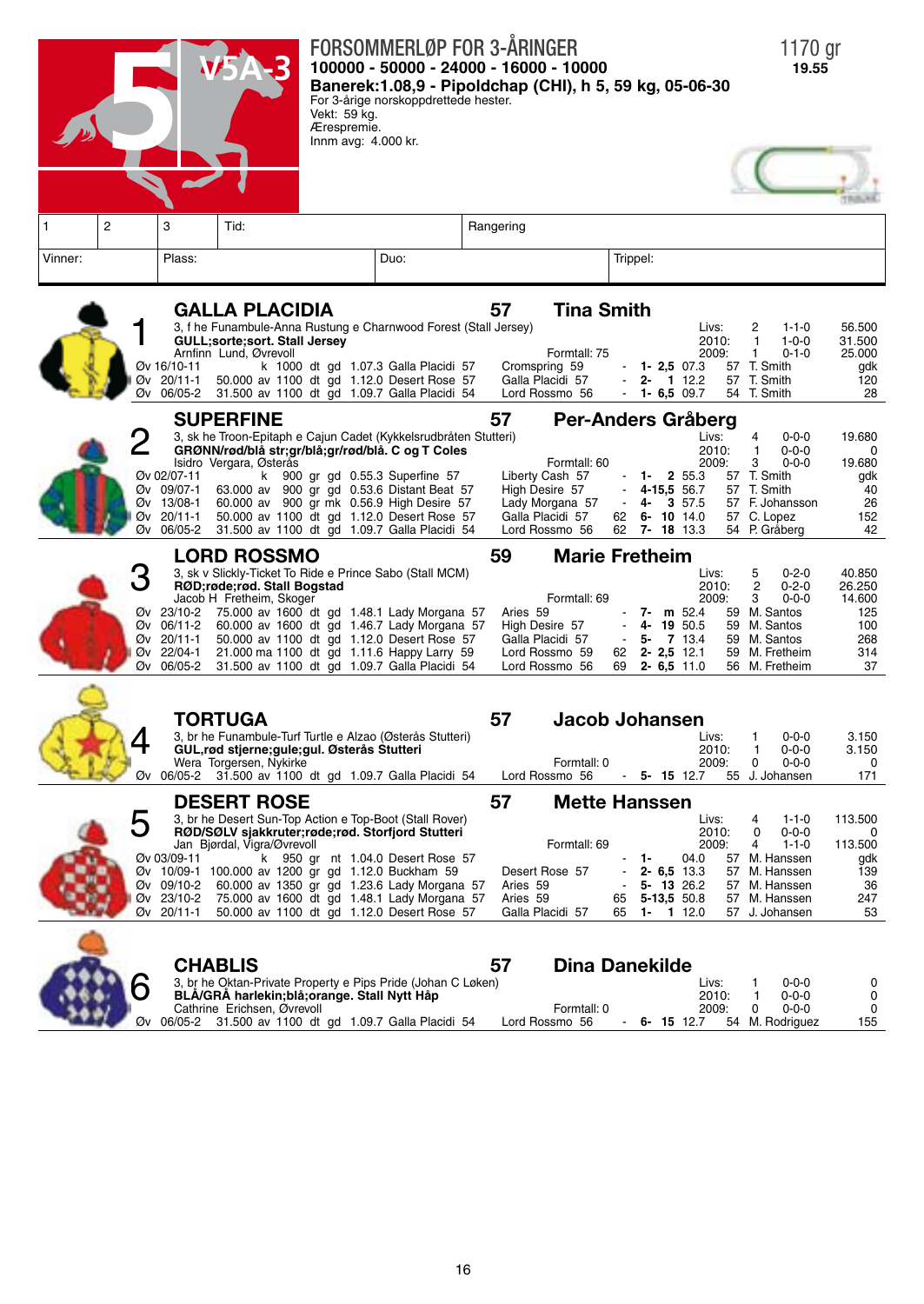



**Chablis 57 Dina Danekilde** 3, br he Oktan-Private Property e Pips Pride (Johan C Løken) Livs: 1 0-0-0 0<br>BLÅ/GRÅ harlekin;blå;orange. Stall Nytt Håp<br>Combatter Containers 2010: 1 0-0-0 0 Cathrine Erichsen, Øvrevoll<br>Cathrine Erichsen, Øvrevoll **Formtall: 0** 2009: 0 0-0-0 0<br>2009: 0 2009: 0 2009: 0 2009: 0 2009: 0 2009: 0 2009: 0 2009: 0 2009: 0 2009: 0 2009: 0 2009: 0 2009: 0 2014/ Øv 06/05-2 31.500 av 1100 dt gd 1.09.7 Galla Placidi 54 Lord Rossmo 56 - **6- 15** 12.7 54 M. Rodriguez 155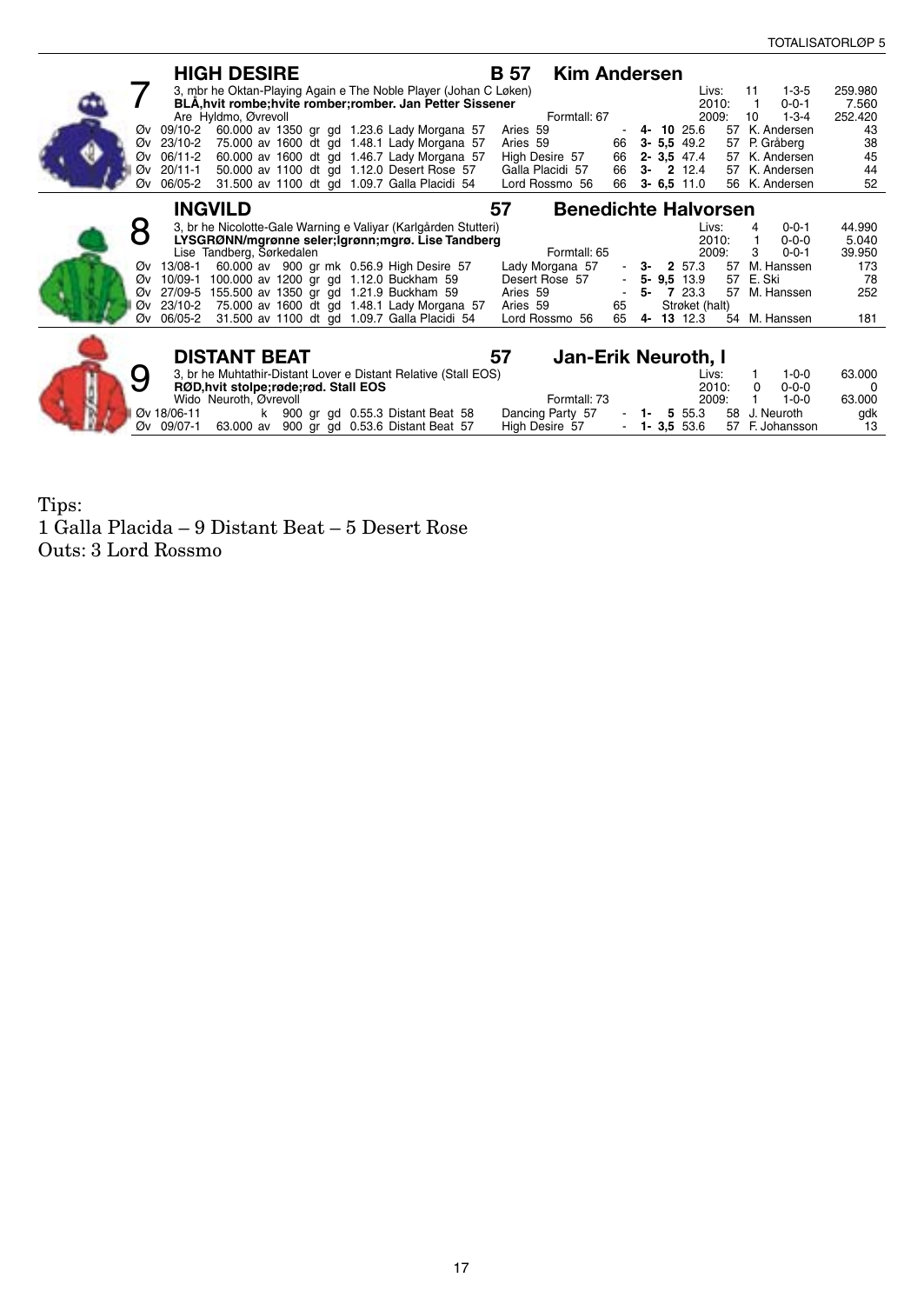| <b>HIGH DESIRE</b>                                                                                                      | <b>Kim Andersen</b><br>B 57                                                                                  |
|-------------------------------------------------------------------------------------------------------------------------|--------------------------------------------------------------------------------------------------------------|
| 3, mbr he Oktan-Playing Again e The Noble Player (Johan C Løken)                                                        | $1 - 3 - 5$<br>259.980<br>Livs:<br>11                                                                        |
| BLÅ, hvit rombe; hvite romber; romber. Jan Petter Sissener                                                              | 2010:<br>$0 - 0 - 1$<br>7.560<br>1                                                                           |
| Are Hyldmo, Øvrevoll<br>Øv 09/10-2                                                                                      | Formtall: 67<br>2009:<br>$1 - 3 - 4$<br>10<br>252,420<br>K. Andersen<br>Aries 59<br>$4 - 1025.6$<br>57<br>43 |
| 60.000 av 1350 gr gd 1.23.6 Lady Morgana 57<br>75.000 av 1600 dt gd 1.48.1 Lady Morgana 57<br>Øv 23/10-2                | 38<br>$3 - 5,5$ 49.2<br>57 P. Gråberg<br>Aries 59<br>66                                                      |
| 60.000 av 1600 dt gd 1.46.7 Lady Morgana 57<br>Øv 06/11-2                                                               | 45<br>66<br>$2 - 3.5$ 47.4<br>High Desire 57<br>57 K. Andersen                                               |
| 50.000 av 1100 dt gd 1.12.0 Desert Rose 57<br>Øv 20/11-1                                                                | 66<br>44<br>Galla Placidi 57<br>$3 - 212.4$<br>57 K. Andersen                                                |
| 31.500 av 1100 dt gd 1.09.7 Galla Placidi 54<br>Øv 06/05-2                                                              | 52<br>Lord Rossmo 56<br>66<br>$3 - 6.5$ 11.0<br>56 K. Andersen                                               |
|                                                                                                                         |                                                                                                              |
| <b>INGVILD</b>                                                                                                          | 57<br><b>Benedichte Halvorsen</b>                                                                            |
| 3, br he Nicolotte-Gale Warning e Valiyar (Karlgården Stutteri)                                                         | 44.990<br>Livs:<br>$0 - 0 - 1$<br>4                                                                          |
| LYSGRØNN/mgrønne seler;lgrønn;mgrø. Lise Tandberg                                                                       | 2010:<br>$0 - 0 - 0$<br>5.040<br>1                                                                           |
| Lise Tandberg, Sørkedalen                                                                                               | Formtall: 65<br>2009:<br>3<br>$0 - 0 - 1$<br>39.950                                                          |
| Øv 13/08-1<br>60.000 av 900 gr mk 0.56.9 High Desire 57                                                                 | M. Hanssen<br>Lady Morgana 57<br>57<br>2 57.3<br>173<br>3-                                                   |
| 100.000 av 1200 gr gd 1.12.0 Buckham 59<br>10/09-1<br>Øv                                                                | Desert Rose 57<br>57 E. Ski<br>78<br>$5 - 9.5$ 13.9                                                          |
| Øv 27/09-5 155.500 av 1350 gr gd 1.21.9 Buckham 59                                                                      | Aries 59<br>5-<br>57<br>7 23.3<br>M. Hanssen<br>252                                                          |
| 75.000 av 1600 dt gd 1.48.1 Lady Morgana 57<br>Øv 23/10-2<br>31.500 av 1100 dt gd 1.09.7 Galla Placidi 54<br>Øv 06/05-2 | Strøket (halt)<br>Aries 59<br>65<br>65<br>M. Hanssen<br>Lord Rossmo 56<br>4 13 12.3<br>54<br>181             |
|                                                                                                                         |                                                                                                              |
|                                                                                                                         |                                                                                                              |
| <b>DISTANT BEAT</b>                                                                                                     | 57<br>Jan-Erik Neuroth, I                                                                                    |
| 3, br he Muhtathir-Distant Lover e Distant Relative (Stall EOS)                                                         | 63.000<br>Livs:<br>$1 - 0 - 0$                                                                               |
| RØD, hvit stolpe; røde; rød. Stall EOS                                                                                  | 2010:<br>$0 - 0 - 0$<br>$\Omega$                                                                             |
| Wido Neuroth, Øvrevoll                                                                                                  | Formtall: 73<br>2009:<br>63.000<br>$1 - 0 - 0$                                                               |
| Øv 18/06-11<br>k 900 gr gd 0.55.3 Distant Beat 58                                                                       | Dancing Party 57<br>5 55.3<br>58<br>J. Neuroth<br>gdk<br>$1 -$                                               |
| 900 gr gd 0.53.6 Distant Beat 57<br>Øv 09/07-1<br>63.000 av                                                             | High Desire 57<br>F. Johansson<br>$-1 - 3.5553.6$<br>13<br>57                                                |

Tips: 1 Galla Placida – 9 Distant Beat – 5 Desert Rose Outs: 3 Lord Rossmo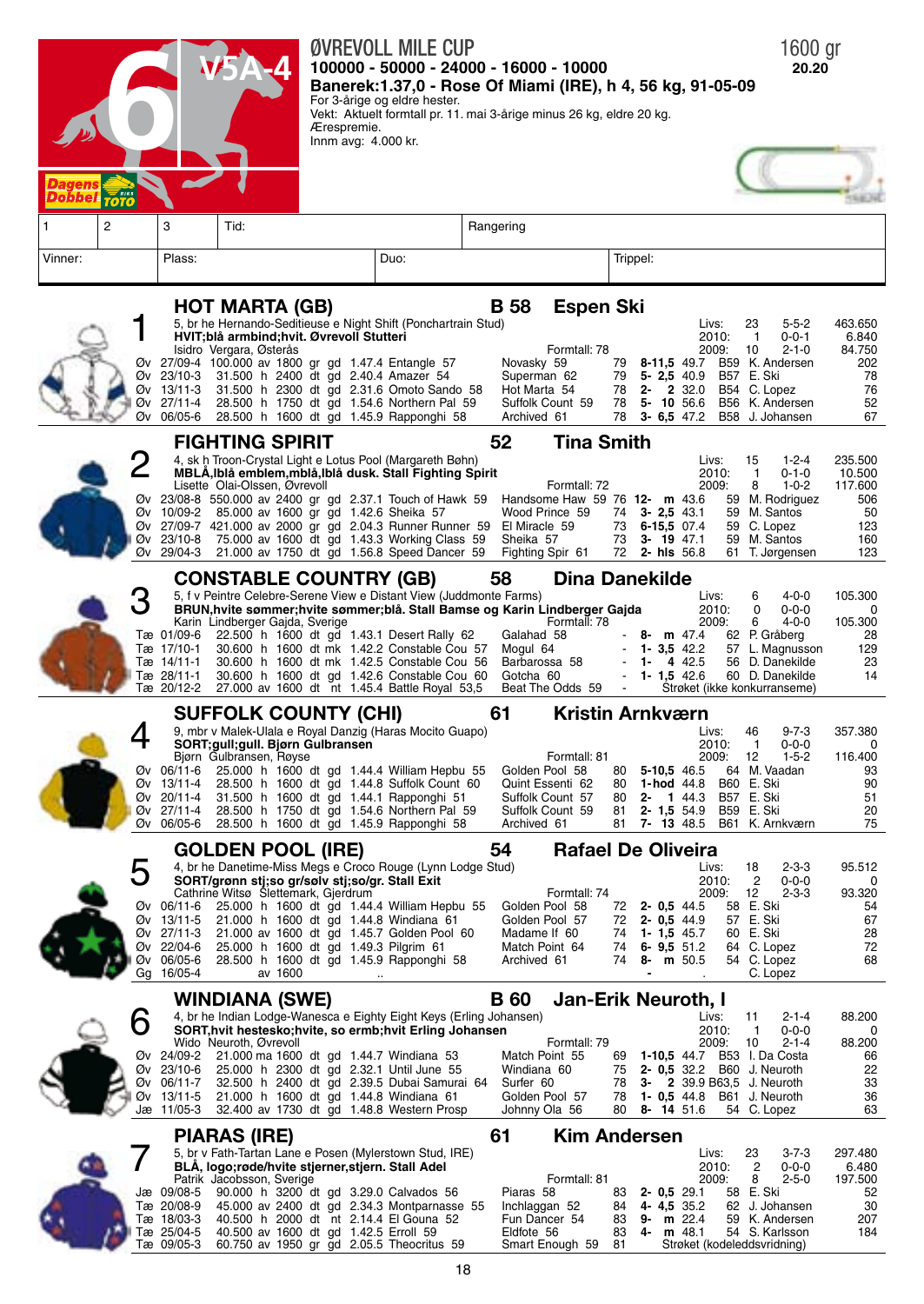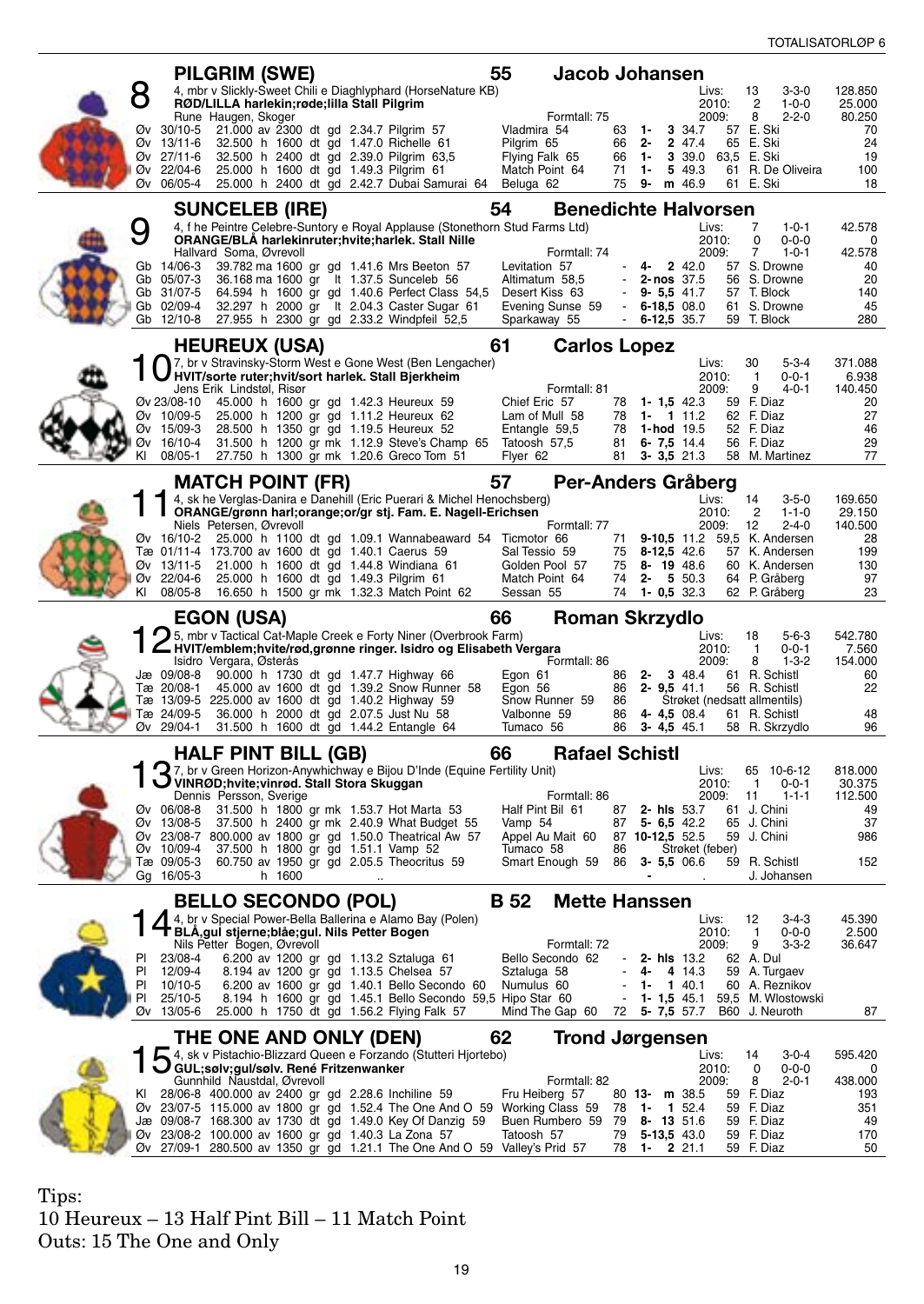| 4, mbr v Slickly-Sweet Chili e Diaghlyphard (HorseNature KB)<br>128.850<br>Livs:<br>13<br>$3 - 3 - 0$<br>RØD/LILLA harlekin; røde; lilla Stall Pilgrim<br>2010:<br>2<br>$1 - 0 - 0$<br>25.000<br>$2 - 2 - 0$<br>Rune Haugen, Skoger<br>Formtall: 75<br>2009:<br>8<br>80.250<br>Øv 30/10-5 21.000 av 2300 dt gd 2.34.7 Pilgrim 57<br>Vladmira 54<br>63 1-<br>3 34.7<br>57 E. Ski<br>70<br>65 E. Ski<br>24<br>Øv 13/11-6<br>32.500 h 1600 dt gd 1.47.0 Richelle 61<br>Pilgrim 65<br>66<br>$2 -$<br>2 47.4<br>32.500 h 2400 dt gd 2.39.0 Pilgrim 63,5<br>63,5 E. Ski<br>19<br>Øv 27/11-6<br>Flying Falk 65<br>66<br>1-<br>3 39.0<br>25.000 h 1600 dt gd 1.49.3 Pilgrim 61<br>5 49.3<br>61 R. De Oliveira<br>100<br>Øv 22/04-6<br>Match Point 64<br>71<br>-1<br>75<br>9-<br>Øv 06/05-4<br>25.000 h 2400 dt gd 2.42.7 Dubai Samurai 64<br>Beluga 62<br>m 46.9<br>61 E. Ski<br>18<br>54<br><b>Benedichte Halvorsen</b><br><b>SUNCELEB (IRE)</b><br>4, f he Peintre Celebre-Suntory e Royal Applause (Stonethorn Stud Farms Ltd)<br>Livs:<br>7<br>$1 - 0 - 1$<br>42.578<br>ORANGE/BLA harlekinruter; hvite; harlek. Stall Nille<br>0<br>$0 - 0 - 0$<br>2010:<br>0<br>7<br>Hallvard Soma, Øvrevoll<br>Formtall: 74<br>2009:<br>$1 - 0 - 1$<br>42.578<br>2 42.0<br>57 S. Drowne<br>39.782 ma 1600 gr gd 1.41.6 Mrs Beeton 57<br>Levitation 57<br>4-<br>40<br>Gb<br>14/06-3<br>56 S. Drowne<br>20<br>Gb 05/07-3<br>36.168 ma 1600 gr lt 1.37.5 Sunceleb 56<br>Altimatum 58,5<br>$2 - nos$ 37.5<br>Gb 31/07-5<br>64.594 h 1600 gr gd 1.40.6 Perfect Class 54,5<br>Desert Kiss 63<br>$9 - 5.5 41.7$<br>57 T. Block<br>140<br>Gb 02/09-4<br>32.297 h 2000 gr lt 2.04.3 Caster Sugar 61<br>Evening Sunse 59<br>$6 - 18,5$ 08.0<br>61 S. Drowne<br>45<br>$\sim$<br>Gb 12/10-8 27.955 h 2300 gr gd 2.33.2 Windpfeil 52,5<br>59 T. Block<br>280<br>Sparkaway 55<br>$\sim$<br>6-12,5 35.7<br>61<br><b>HEUREUX (USA)</b><br><b>Carlos Lopez</b><br>7, br v Stravinsky-Storm West e Gone West (Ben Lengacher)<br>30<br>$5 - 3 - 4$<br>371.088<br>Livs:<br>HVIT/sorte ruter;hvit/sort harlek. Stall Bjerkheim<br>2010:<br>0-0-1<br>6.938<br>-1<br>Formtall: 81<br>Jens Erik Lindstøl, Risør<br>2009:<br>9<br>$4 - 0 - 1$<br>140.450<br>Øv 23/08-10<br>45.000 h 1600 gr gd 1.42.3 Heureux 59<br>Chief Eric 57<br>78<br>1 - 1,5 $42.3$<br>59 F. Diaz<br>20<br>25.000 h 1200 gr gd 1.11.2 Heureux 62<br>78<br>62 F. Diaz<br>27<br>Øv 10/09-5<br>Lam of Mull 58<br>$1 - 111.2$<br>52 F. Diaz<br>46<br>Øv 15/09-3<br>28.500 h 1350 gr gd 1.19.5 Heureux 52<br>Entangle 59,5<br>78<br><b>1-hod</b> 19.5<br>29<br>Øv 16/10-4<br>31.500 h 1200 gr mk 1.12.9 Steve's Champ 65<br>Tatoosh 57,5<br>81<br>$6 - 7,5$ 14.4<br>56 F. Diaz<br>KI<br>08/05-1<br>27.750 h 1300 gr mk 1.20.6 Greco Tom 51<br>58 M. Martinez<br>77<br>Flyer 62<br>81<br>$3 - 3,5$ 21.3<br>57<br><b>MATCH POINT (FR)</b><br>Per-Anders Gråberg<br>4, sk he Verglas-Danira e Danehill (Eric Puerari & Michel Henochsberg)<br>Livs:<br>169.650<br>14<br>$3 - 5 - 0$<br>ORANGE/grønn harl;orange;or/gr stj. Fam. E. Nagell-Erichsen<br>2<br>$1 - 1 - 0$<br>29.150<br>2010:<br>Niels Petersen, Øvrevoll<br>Formtall: 77<br>2009:<br>$2 - 4 - 0$<br>12<br>140.500<br>9-10,5 11.2 59,5 K. Andersen<br>$\varnothing$ v 16/10-2 25.000 h 1100 dt gd 1.09.1 Wannabeaward 54 Ticmotor 66<br>28<br>71<br>Tæ 01/11-4 173.700 av 1600 dt gd 1.40.1 Caerus 59<br>Sal Tessio 59<br>75<br>8-12,5 42.6<br>57 K. Andersen<br>199<br>60 K. Andersen<br>Øv 13/11-5 21.000 h 1600 dt gd 1.44.8 Windiana 61<br>Golden Pool 57<br>75<br>$8 - 19$ 48.6<br>130<br>Øv 22/04-6<br>25.000 h 1600 dt gd 1.49.3 Pilgrim 61<br>74<br>$2 - 550.3$<br>64 P. Gråberg<br>97<br>Match Point 64<br>KI<br>23<br>08/05-8 16.650 h 1500 gr mk 1.32.3 Match Point 62<br>Sessan 55<br>74<br>$1 - 0.5$ 32.3<br>62 P. Gråberg<br><b>EGON (USA)</b><br>Roman Skrzydlo<br>66<br>n of s, mbr v Tactical Cat-Maple Oreek e רטווען מערכו כל הייטורים (C5, mbr v Tactical Cat-Maple oreek)<br>באבלה HVIT/emblem;hvite/rød,grønne ringer. Isidro og Elisabeth Vergara<br>For<br>18<br>$5 - 6 - 3$<br>542.780<br>Livs:<br>$0 - 0 - 1$<br>$\mathbf 1$<br>7.560<br>2010:<br>Isidro Vergara, Østerås<br>Formtall: 86<br>2009:<br>8<br>$1 - 3 - 2$<br>154.000<br>Jæ 09/08-8<br>90.000 h 1730 dt gd 1.47.7 Highway 66<br>Egon 61<br>$2 - 348.4$<br>61 R. Schistl<br>60<br>86<br>Tæ 20/08-1<br>45.000 av 1600 dt gd 1.39.2 Snow Runner 58<br>$2 - 9.5 41.1$<br>56 R. Schistl<br>22<br>Egon 56<br>86<br>Tæ 13/09-5 225.000 av 1600 dt gd 1.40.2 Highway 59<br>Snow Runner 59<br>86<br>Strøket (nedsatt allmentils)<br>36.000 h 2000 dt gd 2.07.5 Just Nu 58<br>Tæ 24/09-5<br>Valbonne 59<br>86<br>4 4.5 08.4<br>61 R. Schistl<br>48<br>Øv 29/04-1<br>86<br>31.500 h 1600 dt gd 1.44.2 Entangle 64<br>Tumaco 56<br>$3 - 4.5$ 45.1<br>58 R. Skrzydlo<br>96<br><b>Rafael Schistl</b><br>HALF PINT BILL (GB)<br>66<br>7, br v Green Horizon-Anywhichway e Bijou D'Inde (Equine Fertility Unit)<br>Livs:<br>65 10-6-12<br>818.000<br>VINRØD;hvite;vinrød. Stall Stora Skuggan<br>$0 - 0 - 1$<br>30.375<br>2010:<br>-1<br>Dennis Persson, Sverige<br>Formtall: 86<br>$1 - 1 - 1$<br>112.500<br>2009:<br>11<br>Øv 06/08-8 31.500 h 1800 gr mk 1.53.7 Hot Marta 53<br>Half Pint Bil 61<br>87 <b>2- his</b> 53.7<br>61 J. Chini<br>49<br>37.500 h 2400 gr mk 2.40.9 What Budget 55<br>65 J. Chini<br>37<br>Øv 13/08-5<br>Vamp 54<br>87<br>$5 - 6.5$ 42.2<br>Øv 23/08-7 800.000 av 1800 gr gd 1.50.0 Theatrical Aw 57<br>Appel Au Mait 60<br>87 10-12,5 52.5<br>59<br>J. Chini<br>986<br>Øv 10/09-4<br>37.500 h 1800 gr gd 1.51.1 Vamp 52<br>86<br>Tumaco 58<br>Strøket (feber)<br>Tæ 09/05-3<br>60.750 av 1950 gr gd 2.05.5 Theocritus 59<br>Smart Enough 59 86<br>$3 - 5,5$ 06.6<br>59 R. Schistl<br>152<br>Gg 16/05-3<br>J. Johansen<br>h 1600<br><b>BELLO SECONDO (POL)</b><br><b>B</b> 52<br><b>Mette Hanssen</b><br>4, br v Special Power-Bella Ballerina e Alamo Bay (Polen)<br>Livs:<br>12<br>$3-4-3$<br>45.390<br>4 BLÅ, gul stjerne; blåe; gul. Nils Petter Bogen<br>2.500<br>2010:<br>$0 - 0 - 0$<br>1<br>Nils Petter Bogen, Øvrevoll<br>Formtall: 72<br>9<br>$3 - 3 - 2$<br>2009:<br>36.647<br>PI<br>6.200 av 1200 gr gd 1.13.2 Sztaluga 61<br>62 A. Dul<br>23/08-4<br>Bello Secondo 62<br>2- hls $13.2$<br>PI<br>12/09-4<br>8.194 av 1200 gr gd 1.13.5 Chelsea 57<br>Sztaluga 58<br>4-<br>4 14.3<br>59 A. Turgaev<br>PI<br>10/10-5<br>6.200 av 1600 gr gd 1.40.1 Bello Secondo 60<br>Numulus 60<br>1-<br>1 40.1<br>60 A. Reznikov<br>PI<br>25/10-5<br>8.194 h 1600 gr gd 1.45.1 Bello Secondo 59,5 Hipo Star 60<br>59,5 M. Wlostowski<br>$1 - 1, 5$ 45.1<br>$\overline{\phantom{a}}$<br>25.000 h 1750 dt gd 1.56.2 Flying Falk 57<br>Ø۷<br>13/05-6<br>Mind The Gap 60<br>72<br>$5 - 7,5$ 57.7<br>B60 J. Neuroth<br>87<br>THE ONE AND ONLY (DEN)<br>62<br><b>Trond Jørgensen</b><br>4, sk v Pistachio-Blizzard Queen e Forzando (Stutteri Hjortebo)<br>Livs:<br>14<br>$3 - 0 - 4$<br>595.420<br>GUL;sølv;gul/sølv. René Fritzenwanker<br>2010:<br>0<br>$0 - 0 - 0$<br>0<br>Formtall: 82<br>Gunnhild Naustdal, Øvrevoll<br>2009:<br>8<br>$2 - 0 - 1$<br>438.000<br>28/06-8 400.000 av 2400 gr gd 2.28.6 Inchiline 59<br>Fru Heiberg 57<br>80 13-<br>m 38.5<br>59 F. Diaz<br>KI<br>193<br>Øv 23/07-5 115.000 av 1800 gr gd 1.52.4 The One And O 59<br>Working Class 59<br>351<br>78<br>$1-$<br>$1\,52.4$<br>59 F. Diaz<br>Jæ 09/08-7 168.300 av 1730 dt gd 1.49.0 Key Of Danzig 59<br>Buen Rumbero 59<br>49<br>79<br>$8 - 13$ 51.6<br>59 F. Diaz<br>59 F. Diaz<br>Øv 23/08-2 100.000 av 1600 gr gd 1.40.3 La Zona 57<br>Tatoosh 57<br>79<br>5-13,5 43.0<br>170<br>Øv 27/09-1 280.500 av 1350 gr gd 1.21.1 The One And O 59 Valley's Prid 57<br>2 21.1<br>59 F. Diaz<br>78<br>1-<br>50 |  | PILGRIM (SWE) |  | 55 | Jacob Johansen |  |  |  |
|------------------------------------------------------------------------------------------------------------------------------------------------------------------------------------------------------------------------------------------------------------------------------------------------------------------------------------------------------------------------------------------------------------------------------------------------------------------------------------------------------------------------------------------------------------------------------------------------------------------------------------------------------------------------------------------------------------------------------------------------------------------------------------------------------------------------------------------------------------------------------------------------------------------------------------------------------------------------------------------------------------------------------------------------------------------------------------------------------------------------------------------------------------------------------------------------------------------------------------------------------------------------------------------------------------------------------------------------------------------------------------------------------------------------------------------------------------------------------------------------------------------------------------------------------------------------------------------------------------------------------------------------------------------------------------------------------------------------------------------------------------------------------------------------------------------------------------------------------------------------------------------------------------------------------------------------------------------------------------------------------------------------------------------------------------------------------------------------------------------------------------------------------------------------------------------------------------------------------------------------------------------------------------------------------------------------------------------------------------------------------------------------------------------------------------------------------------------------------------------------------------------------------------------------------------------------------------------------------------------------------------------------------------------------------------------------------------------------------------------------------------------------------------------------------------------------------------------------------------------------------------------------------------------------------------------------------------------------------------------------------------------------------------------------------------------------------------------------------------------------------------------------------------------------------------------------------------------------------------------------------------------------------------------------------------------------------------------------------------------------------------------------------------------------------------------------------------------------------------------------------------------------------------------------------------------------------------------------------------------------------------------------------------------------------------------------------------------------------------------------------------------------------------------------------------------------------------------------------------------------------------------------------------------------------------------------------------------------------------------------------------------------------------------------------------------------------------------------------------------------------------------------------------------------------------------------------------------------------------------------------------------------------------------------------------------------------------------------------------------------------------------------------------------------------------------------------------------------------------------------------------------------------------------------------------------------------------------------------------------------------------------------------------------------------------------------------------------------------------------------------------------------------------------------------------------------------------------------------------------------------------------------------------------------------------------------------------------------------------------------------------------------------------------------------------------------------------------------------------------------------------------------------------------------------------------------------------------------------------------------------------------------------------------------------------------------------------------------------------------------------------------------------------------------------------------------------------------------------------------------------------------------------------------------------------------------------------------------------------------------------------------------------------------------------------------------------------------------------------------------------------------------------------------------------------------------------------------------------------------------------------------------------------------------------------------------------------------------------------------------------------------------------------------------------------------------------------------------------------------------------------------------------------------------------------------------------------------------------------------------------------------------------------------------------------------------------------------------------------------------------------------------------------------------------------------------------------------------------------------------------------------------------------------------------------------------------------------------------------------------------------------------------------------------------------------------------------------------------------------------------------------------------------------------------------------------------------------------------------------------------------------------------------------------------------------------------------------------------------------------------------------------------------------------------------------------------------------------------------------------------------------------------------------------------------------------------------------------------------------------------------------------------------------------------------------------------------------------------------------------------------------------------------------------------------------------------------------------------------------------------------------------------------------------------------------------------------------------------------------------------------------------------------------------------------------------------------------------------------------------------------------|--|---------------|--|----|----------------|--|--|--|
|                                                                                                                                                                                                                                                                                                                                                                                                                                                                                                                                                                                                                                                                                                                                                                                                                                                                                                                                                                                                                                                                                                                                                                                                                                                                                                                                                                                                                                                                                                                                                                                                                                                                                                                                                                                                                                                                                                                                                                                                                                                                                                                                                                                                                                                                                                                                                                                                                                                                                                                                                                                                                                                                                                                                                                                                                                                                                                                                                                                                                                                                                                                                                                                                                                                                                                                                                                                                                                                                                                                                                                                                                                                                                                                                                                                                                                                                                                                                                                                                                                                                                                                                                                                                                                                                                                                                                                                                                                                                                                                                                                                                                                                                                                                                                                                                                                                                                                                                                                                                                                                                                                                                                                                                                                                                                                                                                                                                                                                                                                                                                                                                                                                                                                                                                                                                                                                                                                                                                                                                                                                                                                                                                                                                                                                                                                                                                                                                                                                                                                                                                                                                                                                                                                                                                                                                                                                                                                                                                                                                                                                                                                                                                                                                                                                                                                                                                                                                                                                                                                                                                                                                                                                                                                                                                                  |  |               |  |    |                |  |  |  |
|                                                                                                                                                                                                                                                                                                                                                                                                                                                                                                                                                                                                                                                                                                                                                                                                                                                                                                                                                                                                                                                                                                                                                                                                                                                                                                                                                                                                                                                                                                                                                                                                                                                                                                                                                                                                                                                                                                                                                                                                                                                                                                                                                                                                                                                                                                                                                                                                                                                                                                                                                                                                                                                                                                                                                                                                                                                                                                                                                                                                                                                                                                                                                                                                                                                                                                                                                                                                                                                                                                                                                                                                                                                                                                                                                                                                                                                                                                                                                                                                                                                                                                                                                                                                                                                                                                                                                                                                                                                                                                                                                                                                                                                                                                                                                                                                                                                                                                                                                                                                                                                                                                                                                                                                                                                                                                                                                                                                                                                                                                                                                                                                                                                                                                                                                                                                                                                                                                                                                                                                                                                                                                                                                                                                                                                                                                                                                                                                                                                                                                                                                                                                                                                                                                                                                                                                                                                                                                                                                                                                                                                                                                                                                                                                                                                                                                                                                                                                                                                                                                                                                                                                                                                                                                                                                                  |  |               |  |    |                |  |  |  |
|                                                                                                                                                                                                                                                                                                                                                                                                                                                                                                                                                                                                                                                                                                                                                                                                                                                                                                                                                                                                                                                                                                                                                                                                                                                                                                                                                                                                                                                                                                                                                                                                                                                                                                                                                                                                                                                                                                                                                                                                                                                                                                                                                                                                                                                                                                                                                                                                                                                                                                                                                                                                                                                                                                                                                                                                                                                                                                                                                                                                                                                                                                                                                                                                                                                                                                                                                                                                                                                                                                                                                                                                                                                                                                                                                                                                                                                                                                                                                                                                                                                                                                                                                                                                                                                                                                                                                                                                                                                                                                                                                                                                                                                                                                                                                                                                                                                                                                                                                                                                                                                                                                                                                                                                                                                                                                                                                                                                                                                                                                                                                                                                                                                                                                                                                                                                                                                                                                                                                                                                                                                                                                                                                                                                                                                                                                                                                                                                                                                                                                                                                                                                                                                                                                                                                                                                                                                                                                                                                                                                                                                                                                                                                                                                                                                                                                                                                                                                                                                                                                                                                                                                                                                                                                                                                                  |  |               |  |    |                |  |  |  |
|                                                                                                                                                                                                                                                                                                                                                                                                                                                                                                                                                                                                                                                                                                                                                                                                                                                                                                                                                                                                                                                                                                                                                                                                                                                                                                                                                                                                                                                                                                                                                                                                                                                                                                                                                                                                                                                                                                                                                                                                                                                                                                                                                                                                                                                                                                                                                                                                                                                                                                                                                                                                                                                                                                                                                                                                                                                                                                                                                                                                                                                                                                                                                                                                                                                                                                                                                                                                                                                                                                                                                                                                                                                                                                                                                                                                                                                                                                                                                                                                                                                                                                                                                                                                                                                                                                                                                                                                                                                                                                                                                                                                                                                                                                                                                                                                                                                                                                                                                                                                                                                                                                                                                                                                                                                                                                                                                                                                                                                                                                                                                                                                                                                                                                                                                                                                                                                                                                                                                                                                                                                                                                                                                                                                                                                                                                                                                                                                                                                                                                                                                                                                                                                                                                                                                                                                                                                                                                                                                                                                                                                                                                                                                                                                                                                                                                                                                                                                                                                                                                                                                                                                                                                                                                                                                                  |  |               |  |    |                |  |  |  |
|                                                                                                                                                                                                                                                                                                                                                                                                                                                                                                                                                                                                                                                                                                                                                                                                                                                                                                                                                                                                                                                                                                                                                                                                                                                                                                                                                                                                                                                                                                                                                                                                                                                                                                                                                                                                                                                                                                                                                                                                                                                                                                                                                                                                                                                                                                                                                                                                                                                                                                                                                                                                                                                                                                                                                                                                                                                                                                                                                                                                                                                                                                                                                                                                                                                                                                                                                                                                                                                                                                                                                                                                                                                                                                                                                                                                                                                                                                                                                                                                                                                                                                                                                                                                                                                                                                                                                                                                                                                                                                                                                                                                                                                                                                                                                                                                                                                                                                                                                                                                                                                                                                                                                                                                                                                                                                                                                                                                                                                                                                                                                                                                                                                                                                                                                                                                                                                                                                                                                                                                                                                                                                                                                                                                                                                                                                                                                                                                                                                                                                                                                                                                                                                                                                                                                                                                                                                                                                                                                                                                                                                                                                                                                                                                                                                                                                                                                                                                                                                                                                                                                                                                                                                                                                                                                                  |  |               |  |    |                |  |  |  |
|                                                                                                                                                                                                                                                                                                                                                                                                                                                                                                                                                                                                                                                                                                                                                                                                                                                                                                                                                                                                                                                                                                                                                                                                                                                                                                                                                                                                                                                                                                                                                                                                                                                                                                                                                                                                                                                                                                                                                                                                                                                                                                                                                                                                                                                                                                                                                                                                                                                                                                                                                                                                                                                                                                                                                                                                                                                                                                                                                                                                                                                                                                                                                                                                                                                                                                                                                                                                                                                                                                                                                                                                                                                                                                                                                                                                                                                                                                                                                                                                                                                                                                                                                                                                                                                                                                                                                                                                                                                                                                                                                                                                                                                                                                                                                                                                                                                                                                                                                                                                                                                                                                                                                                                                                                                                                                                                                                                                                                                                                                                                                                                                                                                                                                                                                                                                                                                                                                                                                                                                                                                                                                                                                                                                                                                                                                                                                                                                                                                                                                                                                                                                                                                                                                                                                                                                                                                                                                                                                                                                                                                                                                                                                                                                                                                                                                                                                                                                                                                                                                                                                                                                                                                                                                                                                                  |  |               |  |    |                |  |  |  |
|                                                                                                                                                                                                                                                                                                                                                                                                                                                                                                                                                                                                                                                                                                                                                                                                                                                                                                                                                                                                                                                                                                                                                                                                                                                                                                                                                                                                                                                                                                                                                                                                                                                                                                                                                                                                                                                                                                                                                                                                                                                                                                                                                                                                                                                                                                                                                                                                                                                                                                                                                                                                                                                                                                                                                                                                                                                                                                                                                                                                                                                                                                                                                                                                                                                                                                                                                                                                                                                                                                                                                                                                                                                                                                                                                                                                                                                                                                                                                                                                                                                                                                                                                                                                                                                                                                                                                                                                                                                                                                                                                                                                                                                                                                                                                                                                                                                                                                                                                                                                                                                                                                                                                                                                                                                                                                                                                                                                                                                                                                                                                                                                                                                                                                                                                                                                                                                                                                                                                                                                                                                                                                                                                                                                                                                                                                                                                                                                                                                                                                                                                                                                                                                                                                                                                                                                                                                                                                                                                                                                                                                                                                                                                                                                                                                                                                                                                                                                                                                                                                                                                                                                                                                                                                                                                                  |  |               |  |    |                |  |  |  |
|                                                                                                                                                                                                                                                                                                                                                                                                                                                                                                                                                                                                                                                                                                                                                                                                                                                                                                                                                                                                                                                                                                                                                                                                                                                                                                                                                                                                                                                                                                                                                                                                                                                                                                                                                                                                                                                                                                                                                                                                                                                                                                                                                                                                                                                                                                                                                                                                                                                                                                                                                                                                                                                                                                                                                                                                                                                                                                                                                                                                                                                                                                                                                                                                                                                                                                                                                                                                                                                                                                                                                                                                                                                                                                                                                                                                                                                                                                                                                                                                                                                                                                                                                                                                                                                                                                                                                                                                                                                                                                                                                                                                                                                                                                                                                                                                                                                                                                                                                                                                                                                                                                                                                                                                                                                                                                                                                                                                                                                                                                                                                                                                                                                                                                                                                                                                                                                                                                                                                                                                                                                                                                                                                                                                                                                                                                                                                                                                                                                                                                                                                                                                                                                                                                                                                                                                                                                                                                                                                                                                                                                                                                                                                                                                                                                                                                                                                                                                                                                                                                                                                                                                                                                                                                                                                                  |  |               |  |    |                |  |  |  |
|                                                                                                                                                                                                                                                                                                                                                                                                                                                                                                                                                                                                                                                                                                                                                                                                                                                                                                                                                                                                                                                                                                                                                                                                                                                                                                                                                                                                                                                                                                                                                                                                                                                                                                                                                                                                                                                                                                                                                                                                                                                                                                                                                                                                                                                                                                                                                                                                                                                                                                                                                                                                                                                                                                                                                                                                                                                                                                                                                                                                                                                                                                                                                                                                                                                                                                                                                                                                                                                                                                                                                                                                                                                                                                                                                                                                                                                                                                                                                                                                                                                                                                                                                                                                                                                                                                                                                                                                                                                                                                                                                                                                                                                                                                                                                                                                                                                                                                                                                                                                                                                                                                                                                                                                                                                                                                                                                                                                                                                                                                                                                                                                                                                                                                                                                                                                                                                                                                                                                                                                                                                                                                                                                                                                                                                                                                                                                                                                                                                                                                                                                                                                                                                                                                                                                                                                                                                                                                                                                                                                                                                                                                                                                                                                                                                                                                                                                                                                                                                                                                                                                                                                                                                                                                                                                                  |  |               |  |    |                |  |  |  |
|                                                                                                                                                                                                                                                                                                                                                                                                                                                                                                                                                                                                                                                                                                                                                                                                                                                                                                                                                                                                                                                                                                                                                                                                                                                                                                                                                                                                                                                                                                                                                                                                                                                                                                                                                                                                                                                                                                                                                                                                                                                                                                                                                                                                                                                                                                                                                                                                                                                                                                                                                                                                                                                                                                                                                                                                                                                                                                                                                                                                                                                                                                                                                                                                                                                                                                                                                                                                                                                                                                                                                                                                                                                                                                                                                                                                                                                                                                                                                                                                                                                                                                                                                                                                                                                                                                                                                                                                                                                                                                                                                                                                                                                                                                                                                                                                                                                                                                                                                                                                                                                                                                                                                                                                                                                                                                                                                                                                                                                                                                                                                                                                                                                                                                                                                                                                                                                                                                                                                                                                                                                                                                                                                                                                                                                                                                                                                                                                                                                                                                                                                                                                                                                                                                                                                                                                                                                                                                                                                                                                                                                                                                                                                                                                                                                                                                                                                                                                                                                                                                                                                                                                                                                                                                                                                                  |  |               |  |    |                |  |  |  |
|                                                                                                                                                                                                                                                                                                                                                                                                                                                                                                                                                                                                                                                                                                                                                                                                                                                                                                                                                                                                                                                                                                                                                                                                                                                                                                                                                                                                                                                                                                                                                                                                                                                                                                                                                                                                                                                                                                                                                                                                                                                                                                                                                                                                                                                                                                                                                                                                                                                                                                                                                                                                                                                                                                                                                                                                                                                                                                                                                                                                                                                                                                                                                                                                                                                                                                                                                                                                                                                                                                                                                                                                                                                                                                                                                                                                                                                                                                                                                                                                                                                                                                                                                                                                                                                                                                                                                                                                                                                                                                                                                                                                                                                                                                                                                                                                                                                                                                                                                                                                                                                                                                                                                                                                                                                                                                                                                                                                                                                                                                                                                                                                                                                                                                                                                                                                                                                                                                                                                                                                                                                                                                                                                                                                                                                                                                                                                                                                                                                                                                                                                                                                                                                                                                                                                                                                                                                                                                                                                                                                                                                                                                                                                                                                                                                                                                                                                                                                                                                                                                                                                                                                                                                                                                                                                                  |  |               |  |    |                |  |  |  |
|                                                                                                                                                                                                                                                                                                                                                                                                                                                                                                                                                                                                                                                                                                                                                                                                                                                                                                                                                                                                                                                                                                                                                                                                                                                                                                                                                                                                                                                                                                                                                                                                                                                                                                                                                                                                                                                                                                                                                                                                                                                                                                                                                                                                                                                                                                                                                                                                                                                                                                                                                                                                                                                                                                                                                                                                                                                                                                                                                                                                                                                                                                                                                                                                                                                                                                                                                                                                                                                                                                                                                                                                                                                                                                                                                                                                                                                                                                                                                                                                                                                                                                                                                                                                                                                                                                                                                                                                                                                                                                                                                                                                                                                                                                                                                                                                                                                                                                                                                                                                                                                                                                                                                                                                                                                                                                                                                                                                                                                                                                                                                                                                                                                                                                                                                                                                                                                                                                                                                                                                                                                                                                                                                                                                                                                                                                                                                                                                                                                                                                                                                                                                                                                                                                                                                                                                                                                                                                                                                                                                                                                                                                                                                                                                                                                                                                                                                                                                                                                                                                                                                                                                                                                                                                                                                                  |  |               |  |    |                |  |  |  |
|                                                                                                                                                                                                                                                                                                                                                                                                                                                                                                                                                                                                                                                                                                                                                                                                                                                                                                                                                                                                                                                                                                                                                                                                                                                                                                                                                                                                                                                                                                                                                                                                                                                                                                                                                                                                                                                                                                                                                                                                                                                                                                                                                                                                                                                                                                                                                                                                                                                                                                                                                                                                                                                                                                                                                                                                                                                                                                                                                                                                                                                                                                                                                                                                                                                                                                                                                                                                                                                                                                                                                                                                                                                                                                                                                                                                                                                                                                                                                                                                                                                                                                                                                                                                                                                                                                                                                                                                                                                                                                                                                                                                                                                                                                                                                                                                                                                                                                                                                                                                                                                                                                                                                                                                                                                                                                                                                                                                                                                                                                                                                                                                                                                                                                                                                                                                                                                                                                                                                                                                                                                                                                                                                                                                                                                                                                                                                                                                                                                                                                                                                                                                                                                                                                                                                                                                                                                                                                                                                                                                                                                                                                                                                                                                                                                                                                                                                                                                                                                                                                                                                                                                                                                                                                                                                                  |  |               |  |    |                |  |  |  |
|                                                                                                                                                                                                                                                                                                                                                                                                                                                                                                                                                                                                                                                                                                                                                                                                                                                                                                                                                                                                                                                                                                                                                                                                                                                                                                                                                                                                                                                                                                                                                                                                                                                                                                                                                                                                                                                                                                                                                                                                                                                                                                                                                                                                                                                                                                                                                                                                                                                                                                                                                                                                                                                                                                                                                                                                                                                                                                                                                                                                                                                                                                                                                                                                                                                                                                                                                                                                                                                                                                                                                                                                                                                                                                                                                                                                                                                                                                                                                                                                                                                                                                                                                                                                                                                                                                                                                                                                                                                                                                                                                                                                                                                                                                                                                                                                                                                                                                                                                                                                                                                                                                                                                                                                                                                                                                                                                                                                                                                                                                                                                                                                                                                                                                                                                                                                                                                                                                                                                                                                                                                                                                                                                                                                                                                                                                                                                                                                                                                                                                                                                                                                                                                                                                                                                                                                                                                                                                                                                                                                                                                                                                                                                                                                                                                                                                                                                                                                                                                                                                                                                                                                                                                                                                                                                                  |  |               |  |    |                |  |  |  |
|                                                                                                                                                                                                                                                                                                                                                                                                                                                                                                                                                                                                                                                                                                                                                                                                                                                                                                                                                                                                                                                                                                                                                                                                                                                                                                                                                                                                                                                                                                                                                                                                                                                                                                                                                                                                                                                                                                                                                                                                                                                                                                                                                                                                                                                                                                                                                                                                                                                                                                                                                                                                                                                                                                                                                                                                                                                                                                                                                                                                                                                                                                                                                                                                                                                                                                                                                                                                                                                                                                                                                                                                                                                                                                                                                                                                                                                                                                                                                                                                                                                                                                                                                                                                                                                                                                                                                                                                                                                                                                                                                                                                                                                                                                                                                                                                                                                                                                                                                                                                                                                                                                                                                                                                                                                                                                                                                                                                                                                                                                                                                                                                                                                                                                                                                                                                                                                                                                                                                                                                                                                                                                                                                                                                                                                                                                                                                                                                                                                                                                                                                                                                                                                                                                                                                                                                                                                                                                                                                                                                                                                                                                                                                                                                                                                                                                                                                                                                                                                                                                                                                                                                                                                                                                                                                                  |  |               |  |    |                |  |  |  |
|                                                                                                                                                                                                                                                                                                                                                                                                                                                                                                                                                                                                                                                                                                                                                                                                                                                                                                                                                                                                                                                                                                                                                                                                                                                                                                                                                                                                                                                                                                                                                                                                                                                                                                                                                                                                                                                                                                                                                                                                                                                                                                                                                                                                                                                                                                                                                                                                                                                                                                                                                                                                                                                                                                                                                                                                                                                                                                                                                                                                                                                                                                                                                                                                                                                                                                                                                                                                                                                                                                                                                                                                                                                                                                                                                                                                                                                                                                                                                                                                                                                                                                                                                                                                                                                                                                                                                                                                                                                                                                                                                                                                                                                                                                                                                                                                                                                                                                                                                                                                                                                                                                                                                                                                                                                                                                                                                                                                                                                                                                                                                                                                                                                                                                                                                                                                                                                                                                                                                                                                                                                                                                                                                                                                                                                                                                                                                                                                                                                                                                                                                                                                                                                                                                                                                                                                                                                                                                                                                                                                                                                                                                                                                                                                                                                                                                                                                                                                                                                                                                                                                                                                                                                                                                                                                                  |  |               |  |    |                |  |  |  |
|                                                                                                                                                                                                                                                                                                                                                                                                                                                                                                                                                                                                                                                                                                                                                                                                                                                                                                                                                                                                                                                                                                                                                                                                                                                                                                                                                                                                                                                                                                                                                                                                                                                                                                                                                                                                                                                                                                                                                                                                                                                                                                                                                                                                                                                                                                                                                                                                                                                                                                                                                                                                                                                                                                                                                                                                                                                                                                                                                                                                                                                                                                                                                                                                                                                                                                                                                                                                                                                                                                                                                                                                                                                                                                                                                                                                                                                                                                                                                                                                                                                                                                                                                                                                                                                                                                                                                                                                                                                                                                                                                                                                                                                                                                                                                                                                                                                                                                                                                                                                                                                                                                                                                                                                                                                                                                                                                                                                                                                                                                                                                                                                                                                                                                                                                                                                                                                                                                                                                                                                                                                                                                                                                                                                                                                                                                                                                                                                                                                                                                                                                                                                                                                                                                                                                                                                                                                                                                                                                                                                                                                                                                                                                                                                                                                                                                                                                                                                                                                                                                                                                                                                                                                                                                                                                                  |  |               |  |    |                |  |  |  |
|                                                                                                                                                                                                                                                                                                                                                                                                                                                                                                                                                                                                                                                                                                                                                                                                                                                                                                                                                                                                                                                                                                                                                                                                                                                                                                                                                                                                                                                                                                                                                                                                                                                                                                                                                                                                                                                                                                                                                                                                                                                                                                                                                                                                                                                                                                                                                                                                                                                                                                                                                                                                                                                                                                                                                                                                                                                                                                                                                                                                                                                                                                                                                                                                                                                                                                                                                                                                                                                                                                                                                                                                                                                                                                                                                                                                                                                                                                                                                                                                                                                                                                                                                                                                                                                                                                                                                                                                                                                                                                                                                                                                                                                                                                                                                                                                                                                                                                                                                                                                                                                                                                                                                                                                                                                                                                                                                                                                                                                                                                                                                                                                                                                                                                                                                                                                                                                                                                                                                                                                                                                                                                                                                                                                                                                                                                                                                                                                                                                                                                                                                                                                                                                                                                                                                                                                                                                                                                                                                                                                                                                                                                                                                                                                                                                                                                                                                                                                                                                                                                                                                                                                                                                                                                                                                                  |  |               |  |    |                |  |  |  |
|                                                                                                                                                                                                                                                                                                                                                                                                                                                                                                                                                                                                                                                                                                                                                                                                                                                                                                                                                                                                                                                                                                                                                                                                                                                                                                                                                                                                                                                                                                                                                                                                                                                                                                                                                                                                                                                                                                                                                                                                                                                                                                                                                                                                                                                                                                                                                                                                                                                                                                                                                                                                                                                                                                                                                                                                                                                                                                                                                                                                                                                                                                                                                                                                                                                                                                                                                                                                                                                                                                                                                                                                                                                                                                                                                                                                                                                                                                                                                                                                                                                                                                                                                                                                                                                                                                                                                                                                                                                                                                                                                                                                                                                                                                                                                                                                                                                                                                                                                                                                                                                                                                                                                                                                                                                                                                                                                                                                                                                                                                                                                                                                                                                                                                                                                                                                                                                                                                                                                                                                                                                                                                                                                                                                                                                                                                                                                                                                                                                                                                                                                                                                                                                                                                                                                                                                                                                                                                                                                                                                                                                                                                                                                                                                                                                                                                                                                                                                                                                                                                                                                                                                                                                                                                                                                                  |  |               |  |    |                |  |  |  |
|                                                                                                                                                                                                                                                                                                                                                                                                                                                                                                                                                                                                                                                                                                                                                                                                                                                                                                                                                                                                                                                                                                                                                                                                                                                                                                                                                                                                                                                                                                                                                                                                                                                                                                                                                                                                                                                                                                                                                                                                                                                                                                                                                                                                                                                                                                                                                                                                                                                                                                                                                                                                                                                                                                                                                                                                                                                                                                                                                                                                                                                                                                                                                                                                                                                                                                                                                                                                                                                                                                                                                                                                                                                                                                                                                                                                                                                                                                                                                                                                                                                                                                                                                                                                                                                                                                                                                                                                                                                                                                                                                                                                                                                                                                                                                                                                                                                                                                                                                                                                                                                                                                                                                                                                                                                                                                                                                                                                                                                                                                                                                                                                                                                                                                                                                                                                                                                                                                                                                                                                                                                                                                                                                                                                                                                                                                                                                                                                                                                                                                                                                                                                                                                                                                                                                                                                                                                                                                                                                                                                                                                                                                                                                                                                                                                                                                                                                                                                                                                                                                                                                                                                                                                                                                                                                                  |  |               |  |    |                |  |  |  |
|                                                                                                                                                                                                                                                                                                                                                                                                                                                                                                                                                                                                                                                                                                                                                                                                                                                                                                                                                                                                                                                                                                                                                                                                                                                                                                                                                                                                                                                                                                                                                                                                                                                                                                                                                                                                                                                                                                                                                                                                                                                                                                                                                                                                                                                                                                                                                                                                                                                                                                                                                                                                                                                                                                                                                                                                                                                                                                                                                                                                                                                                                                                                                                                                                                                                                                                                                                                                                                                                                                                                                                                                                                                                                                                                                                                                                                                                                                                                                                                                                                                                                                                                                                                                                                                                                                                                                                                                                                                                                                                                                                                                                                                                                                                                                                                                                                                                                                                                                                                                                                                                                                                                                                                                                                                                                                                                                                                                                                                                                                                                                                                                                                                                                                                                                                                                                                                                                                                                                                                                                                                                                                                                                                                                                                                                                                                                                                                                                                                                                                                                                                                                                                                                                                                                                                                                                                                                                                                                                                                                                                                                                                                                                                                                                                                                                                                                                                                                                                                                                                                                                                                                                                                                                                                                                                  |  |               |  |    |                |  |  |  |
|                                                                                                                                                                                                                                                                                                                                                                                                                                                                                                                                                                                                                                                                                                                                                                                                                                                                                                                                                                                                                                                                                                                                                                                                                                                                                                                                                                                                                                                                                                                                                                                                                                                                                                                                                                                                                                                                                                                                                                                                                                                                                                                                                                                                                                                                                                                                                                                                                                                                                                                                                                                                                                                                                                                                                                                                                                                                                                                                                                                                                                                                                                                                                                                                                                                                                                                                                                                                                                                                                                                                                                                                                                                                                                                                                                                                                                                                                                                                                                                                                                                                                                                                                                                                                                                                                                                                                                                                                                                                                                                                                                                                                                                                                                                                                                                                                                                                                                                                                                                                                                                                                                                                                                                                                                                                                                                                                                                                                                                                                                                                                                                                                                                                                                                                                                                                                                                                                                                                                                                                                                                                                                                                                                                                                                                                                                                                                                                                                                                                                                                                                                                                                                                                                                                                                                                                                                                                                                                                                                                                                                                                                                                                                                                                                                                                                                                                                                                                                                                                                                                                                                                                                                                                                                                                                                  |  |               |  |    |                |  |  |  |
|                                                                                                                                                                                                                                                                                                                                                                                                                                                                                                                                                                                                                                                                                                                                                                                                                                                                                                                                                                                                                                                                                                                                                                                                                                                                                                                                                                                                                                                                                                                                                                                                                                                                                                                                                                                                                                                                                                                                                                                                                                                                                                                                                                                                                                                                                                                                                                                                                                                                                                                                                                                                                                                                                                                                                                                                                                                                                                                                                                                                                                                                                                                                                                                                                                                                                                                                                                                                                                                                                                                                                                                                                                                                                                                                                                                                                                                                                                                                                                                                                                                                                                                                                                                                                                                                                                                                                                                                                                                                                                                                                                                                                                                                                                                                                                                                                                                                                                                                                                                                                                                                                                                                                                                                                                                                                                                                                                                                                                                                                                                                                                                                                                                                                                                                                                                                                                                                                                                                                                                                                                                                                                                                                                                                                                                                                                                                                                                                                                                                                                                                                                                                                                                                                                                                                                                                                                                                                                                                                                                                                                                                                                                                                                                                                                                                                                                                                                                                                                                                                                                                                                                                                                                                                                                                                                  |  |               |  |    |                |  |  |  |
|                                                                                                                                                                                                                                                                                                                                                                                                                                                                                                                                                                                                                                                                                                                                                                                                                                                                                                                                                                                                                                                                                                                                                                                                                                                                                                                                                                                                                                                                                                                                                                                                                                                                                                                                                                                                                                                                                                                                                                                                                                                                                                                                                                                                                                                                                                                                                                                                                                                                                                                                                                                                                                                                                                                                                                                                                                                                                                                                                                                                                                                                                                                                                                                                                                                                                                                                                                                                                                                                                                                                                                                                                                                                                                                                                                                                                                                                                                                                                                                                                                                                                                                                                                                                                                                                                                                                                                                                                                                                                                                                                                                                                                                                                                                                                                                                                                                                                                                                                                                                                                                                                                                                                                                                                                                                                                                                                                                                                                                                                                                                                                                                                                                                                                                                                                                                                                                                                                                                                                                                                                                                                                                                                                                                                                                                                                                                                                                                                                                                                                                                                                                                                                                                                                                                                                                                                                                                                                                                                                                                                                                                                                                                                                                                                                                                                                                                                                                                                                                                                                                                                                                                                                                                                                                                                                  |  |               |  |    |                |  |  |  |
|                                                                                                                                                                                                                                                                                                                                                                                                                                                                                                                                                                                                                                                                                                                                                                                                                                                                                                                                                                                                                                                                                                                                                                                                                                                                                                                                                                                                                                                                                                                                                                                                                                                                                                                                                                                                                                                                                                                                                                                                                                                                                                                                                                                                                                                                                                                                                                                                                                                                                                                                                                                                                                                                                                                                                                                                                                                                                                                                                                                                                                                                                                                                                                                                                                                                                                                                                                                                                                                                                                                                                                                                                                                                                                                                                                                                                                                                                                                                                                                                                                                                                                                                                                                                                                                                                                                                                                                                                                                                                                                                                                                                                                                                                                                                                                                                                                                                                                                                                                                                                                                                                                                                                                                                                                                                                                                                                                                                                                                                                                                                                                                                                                                                                                                                                                                                                                                                                                                                                                                                                                                                                                                                                                                                                                                                                                                                                                                                                                                                                                                                                                                                                                                                                                                                                                                                                                                                                                                                                                                                                                                                                                                                                                                                                                                                                                                                                                                                                                                                                                                                                                                                                                                                                                                                                                  |  |               |  |    |                |  |  |  |
|                                                                                                                                                                                                                                                                                                                                                                                                                                                                                                                                                                                                                                                                                                                                                                                                                                                                                                                                                                                                                                                                                                                                                                                                                                                                                                                                                                                                                                                                                                                                                                                                                                                                                                                                                                                                                                                                                                                                                                                                                                                                                                                                                                                                                                                                                                                                                                                                                                                                                                                                                                                                                                                                                                                                                                                                                                                                                                                                                                                                                                                                                                                                                                                                                                                                                                                                                                                                                                                                                                                                                                                                                                                                                                                                                                                                                                                                                                                                                                                                                                                                                                                                                                                                                                                                                                                                                                                                                                                                                                                                                                                                                                                                                                                                                                                                                                                                                                                                                                                                                                                                                                                                                                                                                                                                                                                                                                                                                                                                                                                                                                                                                                                                                                                                                                                                                                                                                                                                                                                                                                                                                                                                                                                                                                                                                                                                                                                                                                                                                                                                                                                                                                                                                                                                                                                                                                                                                                                                                                                                                                                                                                                                                                                                                                                                                                                                                                                                                                                                                                                                                                                                                                                                                                                                                                  |  |               |  |    |                |  |  |  |
|                                                                                                                                                                                                                                                                                                                                                                                                                                                                                                                                                                                                                                                                                                                                                                                                                                                                                                                                                                                                                                                                                                                                                                                                                                                                                                                                                                                                                                                                                                                                                                                                                                                                                                                                                                                                                                                                                                                                                                                                                                                                                                                                                                                                                                                                                                                                                                                                                                                                                                                                                                                                                                                                                                                                                                                                                                                                                                                                                                                                                                                                                                                                                                                                                                                                                                                                                                                                                                                                                                                                                                                                                                                                                                                                                                                                                                                                                                                                                                                                                                                                                                                                                                                                                                                                                                                                                                                                                                                                                                                                                                                                                                                                                                                                                                                                                                                                                                                                                                                                                                                                                                                                                                                                                                                                                                                                                                                                                                                                                                                                                                                                                                                                                                                                                                                                                                                                                                                                                                                                                                                                                                                                                                                                                                                                                                                                                                                                                                                                                                                                                                                                                                                                                                                                                                                                                                                                                                                                                                                                                                                                                                                                                                                                                                                                                                                                                                                                                                                                                                                                                                                                                                                                                                                                                                  |  |               |  |    |                |  |  |  |
|                                                                                                                                                                                                                                                                                                                                                                                                                                                                                                                                                                                                                                                                                                                                                                                                                                                                                                                                                                                                                                                                                                                                                                                                                                                                                                                                                                                                                                                                                                                                                                                                                                                                                                                                                                                                                                                                                                                                                                                                                                                                                                                                                                                                                                                                                                                                                                                                                                                                                                                                                                                                                                                                                                                                                                                                                                                                                                                                                                                                                                                                                                                                                                                                                                                                                                                                                                                                                                                                                                                                                                                                                                                                                                                                                                                                                                                                                                                                                                                                                                                                                                                                                                                                                                                                                                                                                                                                                                                                                                                                                                                                                                                                                                                                                                                                                                                                                                                                                                                                                                                                                                                                                                                                                                                                                                                                                                                                                                                                                                                                                                                                                                                                                                                                                                                                                                                                                                                                                                                                                                                                                                                                                                                                                                                                                                                                                                                                                                                                                                                                                                                                                                                                                                                                                                                                                                                                                                                                                                                                                                                                                                                                                                                                                                                                                                                                                                                                                                                                                                                                                                                                                                                                                                                                                                  |  |               |  |    |                |  |  |  |
|                                                                                                                                                                                                                                                                                                                                                                                                                                                                                                                                                                                                                                                                                                                                                                                                                                                                                                                                                                                                                                                                                                                                                                                                                                                                                                                                                                                                                                                                                                                                                                                                                                                                                                                                                                                                                                                                                                                                                                                                                                                                                                                                                                                                                                                                                                                                                                                                                                                                                                                                                                                                                                                                                                                                                                                                                                                                                                                                                                                                                                                                                                                                                                                                                                                                                                                                                                                                                                                                                                                                                                                                                                                                                                                                                                                                                                                                                                                                                                                                                                                                                                                                                                                                                                                                                                                                                                                                                                                                                                                                                                                                                                                                                                                                                                                                                                                                                                                                                                                                                                                                                                                                                                                                                                                                                                                                                                                                                                                                                                                                                                                                                                                                                                                                                                                                                                                                                                                                                                                                                                                                                                                                                                                                                                                                                                                                                                                                                                                                                                                                                                                                                                                                                                                                                                                                                                                                                                                                                                                                                                                                                                                                                                                                                                                                                                                                                                                                                                                                                                                                                                                                                                                                                                                                                                  |  |               |  |    |                |  |  |  |
|                                                                                                                                                                                                                                                                                                                                                                                                                                                                                                                                                                                                                                                                                                                                                                                                                                                                                                                                                                                                                                                                                                                                                                                                                                                                                                                                                                                                                                                                                                                                                                                                                                                                                                                                                                                                                                                                                                                                                                                                                                                                                                                                                                                                                                                                                                                                                                                                                                                                                                                                                                                                                                                                                                                                                                                                                                                                                                                                                                                                                                                                                                                                                                                                                                                                                                                                                                                                                                                                                                                                                                                                                                                                                                                                                                                                                                                                                                                                                                                                                                                                                                                                                                                                                                                                                                                                                                                                                                                                                                                                                                                                                                                                                                                                                                                                                                                                                                                                                                                                                                                                                                                                                                                                                                                                                                                                                                                                                                                                                                                                                                                                                                                                                                                                                                                                                                                                                                                                                                                                                                                                                                                                                                                                                                                                                                                                                                                                                                                                                                                                                                                                                                                                                                                                                                                                                                                                                                                                                                                                                                                                                                                                                                                                                                                                                                                                                                                                                                                                                                                                                                                                                                                                                                                                                                  |  |               |  |    |                |  |  |  |
|                                                                                                                                                                                                                                                                                                                                                                                                                                                                                                                                                                                                                                                                                                                                                                                                                                                                                                                                                                                                                                                                                                                                                                                                                                                                                                                                                                                                                                                                                                                                                                                                                                                                                                                                                                                                                                                                                                                                                                                                                                                                                                                                                                                                                                                                                                                                                                                                                                                                                                                                                                                                                                                                                                                                                                                                                                                                                                                                                                                                                                                                                                                                                                                                                                                                                                                                                                                                                                                                                                                                                                                                                                                                                                                                                                                                                                                                                                                                                                                                                                                                                                                                                                                                                                                                                                                                                                                                                                                                                                                                                                                                                                                                                                                                                                                                                                                                                                                                                                                                                                                                                                                                                                                                                                                                                                                                                                                                                                                                                                                                                                                                                                                                                                                                                                                                                                                                                                                                                                                                                                                                                                                                                                                                                                                                                                                                                                                                                                                                                                                                                                                                                                                                                                                                                                                                                                                                                                                                                                                                                                                                                                                                                                                                                                                                                                                                                                                                                                                                                                                                                                                                                                                                                                                                                                  |  |               |  |    |                |  |  |  |
|                                                                                                                                                                                                                                                                                                                                                                                                                                                                                                                                                                                                                                                                                                                                                                                                                                                                                                                                                                                                                                                                                                                                                                                                                                                                                                                                                                                                                                                                                                                                                                                                                                                                                                                                                                                                                                                                                                                                                                                                                                                                                                                                                                                                                                                                                                                                                                                                                                                                                                                                                                                                                                                                                                                                                                                                                                                                                                                                                                                                                                                                                                                                                                                                                                                                                                                                                                                                                                                                                                                                                                                                                                                                                                                                                                                                                                                                                                                                                                                                                                                                                                                                                                                                                                                                                                                                                                                                                                                                                                                                                                                                                                                                                                                                                                                                                                                                                                                                                                                                                                                                                                                                                                                                                                                                                                                                                                                                                                                                                                                                                                                                                                                                                                                                                                                                                                                                                                                                                                                                                                                                                                                                                                                                                                                                                                                                                                                                                                                                                                                                                                                                                                                                                                                                                                                                                                                                                                                                                                                                                                                                                                                                                                                                                                                                                                                                                                                                                                                                                                                                                                                                                                                                                                                                                                  |  |               |  |    |                |  |  |  |
|                                                                                                                                                                                                                                                                                                                                                                                                                                                                                                                                                                                                                                                                                                                                                                                                                                                                                                                                                                                                                                                                                                                                                                                                                                                                                                                                                                                                                                                                                                                                                                                                                                                                                                                                                                                                                                                                                                                                                                                                                                                                                                                                                                                                                                                                                                                                                                                                                                                                                                                                                                                                                                                                                                                                                                                                                                                                                                                                                                                                                                                                                                                                                                                                                                                                                                                                                                                                                                                                                                                                                                                                                                                                                                                                                                                                                                                                                                                                                                                                                                                                                                                                                                                                                                                                                                                                                                                                                                                                                                                                                                                                                                                                                                                                                                                                                                                                                                                                                                                                                                                                                                                                                                                                                                                                                                                                                                                                                                                                                                                                                                                                                                                                                                                                                                                                                                                                                                                                                                                                                                                                                                                                                                                                                                                                                                                                                                                                                                                                                                                                                                                                                                                                                                                                                                                                                                                                                                                                                                                                                                                                                                                                                                                                                                                                                                                                                                                                                                                                                                                                                                                                                                                                                                                                                                  |  |               |  |    |                |  |  |  |
|                                                                                                                                                                                                                                                                                                                                                                                                                                                                                                                                                                                                                                                                                                                                                                                                                                                                                                                                                                                                                                                                                                                                                                                                                                                                                                                                                                                                                                                                                                                                                                                                                                                                                                                                                                                                                                                                                                                                                                                                                                                                                                                                                                                                                                                                                                                                                                                                                                                                                                                                                                                                                                                                                                                                                                                                                                                                                                                                                                                                                                                                                                                                                                                                                                                                                                                                                                                                                                                                                                                                                                                                                                                                                                                                                                                                                                                                                                                                                                                                                                                                                                                                                                                                                                                                                                                                                                                                                                                                                                                                                                                                                                                                                                                                                                                                                                                                                                                                                                                                                                                                                                                                                                                                                                                                                                                                                                                                                                                                                                                                                                                                                                                                                                                                                                                                                                                                                                                                                                                                                                                                                                                                                                                                                                                                                                                                                                                                                                                                                                                                                                                                                                                                                                                                                                                                                                                                                                                                                                                                                                                                                                                                                                                                                                                                                                                                                                                                                                                                                                                                                                                                                                                                                                                                                                  |  |               |  |    |                |  |  |  |
|                                                                                                                                                                                                                                                                                                                                                                                                                                                                                                                                                                                                                                                                                                                                                                                                                                                                                                                                                                                                                                                                                                                                                                                                                                                                                                                                                                                                                                                                                                                                                                                                                                                                                                                                                                                                                                                                                                                                                                                                                                                                                                                                                                                                                                                                                                                                                                                                                                                                                                                                                                                                                                                                                                                                                                                                                                                                                                                                                                                                                                                                                                                                                                                                                                                                                                                                                                                                                                                                                                                                                                                                                                                                                                                                                                                                                                                                                                                                                                                                                                                                                                                                                                                                                                                                                                                                                                                                                                                                                                                                                                                                                                                                                                                                                                                                                                                                                                                                                                                                                                                                                                                                                                                                                                                                                                                                                                                                                                                                                                                                                                                                                                                                                                                                                                                                                                                                                                                                                                                                                                                                                                                                                                                                                                                                                                                                                                                                                                                                                                                                                                                                                                                                                                                                                                                                                                                                                                                                                                                                                                                                                                                                                                                                                                                                                                                                                                                                                                                                                                                                                                                                                                                                                                                                                                  |  |               |  |    |                |  |  |  |
|                                                                                                                                                                                                                                                                                                                                                                                                                                                                                                                                                                                                                                                                                                                                                                                                                                                                                                                                                                                                                                                                                                                                                                                                                                                                                                                                                                                                                                                                                                                                                                                                                                                                                                                                                                                                                                                                                                                                                                                                                                                                                                                                                                                                                                                                                                                                                                                                                                                                                                                                                                                                                                                                                                                                                                                                                                                                                                                                                                                                                                                                                                                                                                                                                                                                                                                                                                                                                                                                                                                                                                                                                                                                                                                                                                                                                                                                                                                                                                                                                                                                                                                                                                                                                                                                                                                                                                                                                                                                                                                                                                                                                                                                                                                                                                                                                                                                                                                                                                                                                                                                                                                                                                                                                                                                                                                                                                                                                                                                                                                                                                                                                                                                                                                                                                                                                                                                                                                                                                                                                                                                                                                                                                                                                                                                                                                                                                                                                                                                                                                                                                                                                                                                                                                                                                                                                                                                                                                                                                                                                                                                                                                                                                                                                                                                                                                                                                                                                                                                                                                                                                                                                                                                                                                                                                  |  |               |  |    |                |  |  |  |
|                                                                                                                                                                                                                                                                                                                                                                                                                                                                                                                                                                                                                                                                                                                                                                                                                                                                                                                                                                                                                                                                                                                                                                                                                                                                                                                                                                                                                                                                                                                                                                                                                                                                                                                                                                                                                                                                                                                                                                                                                                                                                                                                                                                                                                                                                                                                                                                                                                                                                                                                                                                                                                                                                                                                                                                                                                                                                                                                                                                                                                                                                                                                                                                                                                                                                                                                                                                                                                                                                                                                                                                                                                                                                                                                                                                                                                                                                                                                                                                                                                                                                                                                                                                                                                                                                                                                                                                                                                                                                                                                                                                                                                                                                                                                                                                                                                                                                                                                                                                                                                                                                                                                                                                                                                                                                                                                                                                                                                                                                                                                                                                                                                                                                                                                                                                                                                                                                                                                                                                                                                                                                                                                                                                                                                                                                                                                                                                                                                                                                                                                                                                                                                                                                                                                                                                                                                                                                                                                                                                                                                                                                                                                                                                                                                                                                                                                                                                                                                                                                                                                                                                                                                                                                                                                                                  |  |               |  |    |                |  |  |  |
|                                                                                                                                                                                                                                                                                                                                                                                                                                                                                                                                                                                                                                                                                                                                                                                                                                                                                                                                                                                                                                                                                                                                                                                                                                                                                                                                                                                                                                                                                                                                                                                                                                                                                                                                                                                                                                                                                                                                                                                                                                                                                                                                                                                                                                                                                                                                                                                                                                                                                                                                                                                                                                                                                                                                                                                                                                                                                                                                                                                                                                                                                                                                                                                                                                                                                                                                                                                                                                                                                                                                                                                                                                                                                                                                                                                                                                                                                                                                                                                                                                                                                                                                                                                                                                                                                                                                                                                                                                                                                                                                                                                                                                                                                                                                                                                                                                                                                                                                                                                                                                                                                                                                                                                                                                                                                                                                                                                                                                                                                                                                                                                                                                                                                                                                                                                                                                                                                                                                                                                                                                                                                                                                                                                                                                                                                                                                                                                                                                                                                                                                                                                                                                                                                                                                                                                                                                                                                                                                                                                                                                                                                                                                                                                                                                                                                                                                                                                                                                                                                                                                                                                                                                                                                                                                                                  |  |               |  |    |                |  |  |  |
|                                                                                                                                                                                                                                                                                                                                                                                                                                                                                                                                                                                                                                                                                                                                                                                                                                                                                                                                                                                                                                                                                                                                                                                                                                                                                                                                                                                                                                                                                                                                                                                                                                                                                                                                                                                                                                                                                                                                                                                                                                                                                                                                                                                                                                                                                                                                                                                                                                                                                                                                                                                                                                                                                                                                                                                                                                                                                                                                                                                                                                                                                                                                                                                                                                                                                                                                                                                                                                                                                                                                                                                                                                                                                                                                                                                                                                                                                                                                                                                                                                                                                                                                                                                                                                                                                                                                                                                                                                                                                                                                                                                                                                                                                                                                                                                                                                                                                                                                                                                                                                                                                                                                                                                                                                                                                                                                                                                                                                                                                                                                                                                                                                                                                                                                                                                                                                                                                                                                                                                                                                                                                                                                                                                                                                                                                                                                                                                                                                                                                                                                                                                                                                                                                                                                                                                                                                                                                                                                                                                                                                                                                                                                                                                                                                                                                                                                                                                                                                                                                                                                                                                                                                                                                                                                                                  |  |               |  |    |                |  |  |  |
|                                                                                                                                                                                                                                                                                                                                                                                                                                                                                                                                                                                                                                                                                                                                                                                                                                                                                                                                                                                                                                                                                                                                                                                                                                                                                                                                                                                                                                                                                                                                                                                                                                                                                                                                                                                                                                                                                                                                                                                                                                                                                                                                                                                                                                                                                                                                                                                                                                                                                                                                                                                                                                                                                                                                                                                                                                                                                                                                                                                                                                                                                                                                                                                                                                                                                                                                                                                                                                                                                                                                                                                                                                                                                                                                                                                                                                                                                                                                                                                                                                                                                                                                                                                                                                                                                                                                                                                                                                                                                                                                                                                                                                                                                                                                                                                                                                                                                                                                                                                                                                                                                                                                                                                                                                                                                                                                                                                                                                                                                                                                                                                                                                                                                                                                                                                                                                                                                                                                                                                                                                                                                                                                                                                                                                                                                                                                                                                                                                                                                                                                                                                                                                                                                                                                                                                                                                                                                                                                                                                                                                                                                                                                                                                                                                                                                                                                                                                                                                                                                                                                                                                                                                                                                                                                                                  |  |               |  |    |                |  |  |  |
|                                                                                                                                                                                                                                                                                                                                                                                                                                                                                                                                                                                                                                                                                                                                                                                                                                                                                                                                                                                                                                                                                                                                                                                                                                                                                                                                                                                                                                                                                                                                                                                                                                                                                                                                                                                                                                                                                                                                                                                                                                                                                                                                                                                                                                                                                                                                                                                                                                                                                                                                                                                                                                                                                                                                                                                                                                                                                                                                                                                                                                                                                                                                                                                                                                                                                                                                                                                                                                                                                                                                                                                                                                                                                                                                                                                                                                                                                                                                                                                                                                                                                                                                                                                                                                                                                                                                                                                                                                                                                                                                                                                                                                                                                                                                                                                                                                                                                                                                                                                                                                                                                                                                                                                                                                                                                                                                                                                                                                                                                                                                                                                                                                                                                                                                                                                                                                                                                                                                                                                                                                                                                                                                                                                                                                                                                                                                                                                                                                                                                                                                                                                                                                                                                                                                                                                                                                                                                                                                                                                                                                                                                                                                                                                                                                                                                                                                                                                                                                                                                                                                                                                                                                                                                                                                                                  |  |               |  |    |                |  |  |  |
|                                                                                                                                                                                                                                                                                                                                                                                                                                                                                                                                                                                                                                                                                                                                                                                                                                                                                                                                                                                                                                                                                                                                                                                                                                                                                                                                                                                                                                                                                                                                                                                                                                                                                                                                                                                                                                                                                                                                                                                                                                                                                                                                                                                                                                                                                                                                                                                                                                                                                                                                                                                                                                                                                                                                                                                                                                                                                                                                                                                                                                                                                                                                                                                                                                                                                                                                                                                                                                                                                                                                                                                                                                                                                                                                                                                                                                                                                                                                                                                                                                                                                                                                                                                                                                                                                                                                                                                                                                                                                                                                                                                                                                                                                                                                                                                                                                                                                                                                                                                                                                                                                                                                                                                                                                                                                                                                                                                                                                                                                                                                                                                                                                                                                                                                                                                                                                                                                                                                                                                                                                                                                                                                                                                                                                                                                                                                                                                                                                                                                                                                                                                                                                                                                                                                                                                                                                                                                                                                                                                                                                                                                                                                                                                                                                                                                                                                                                                                                                                                                                                                                                                                                                                                                                                                                                  |  |               |  |    |                |  |  |  |
|                                                                                                                                                                                                                                                                                                                                                                                                                                                                                                                                                                                                                                                                                                                                                                                                                                                                                                                                                                                                                                                                                                                                                                                                                                                                                                                                                                                                                                                                                                                                                                                                                                                                                                                                                                                                                                                                                                                                                                                                                                                                                                                                                                                                                                                                                                                                                                                                                                                                                                                                                                                                                                                                                                                                                                                                                                                                                                                                                                                                                                                                                                                                                                                                                                                                                                                                                                                                                                                                                                                                                                                                                                                                                                                                                                                                                                                                                                                                                                                                                                                                                                                                                                                                                                                                                                                                                                                                                                                                                                                                                                                                                                                                                                                                                                                                                                                                                                                                                                                                                                                                                                                                                                                                                                                                                                                                                                                                                                                                                                                                                                                                                                                                                                                                                                                                                                                                                                                                                                                                                                                                                                                                                                                                                                                                                                                                                                                                                                                                                                                                                                                                                                                                                                                                                                                                                                                                                                                                                                                                                                                                                                                                                                                                                                                                                                                                                                                                                                                                                                                                                                                                                                                                                                                                                                  |  |               |  |    |                |  |  |  |
|                                                                                                                                                                                                                                                                                                                                                                                                                                                                                                                                                                                                                                                                                                                                                                                                                                                                                                                                                                                                                                                                                                                                                                                                                                                                                                                                                                                                                                                                                                                                                                                                                                                                                                                                                                                                                                                                                                                                                                                                                                                                                                                                                                                                                                                                                                                                                                                                                                                                                                                                                                                                                                                                                                                                                                                                                                                                                                                                                                                                                                                                                                                                                                                                                                                                                                                                                                                                                                                                                                                                                                                                                                                                                                                                                                                                                                                                                                                                                                                                                                                                                                                                                                                                                                                                                                                                                                                                                                                                                                                                                                                                                                                                                                                                                                                                                                                                                                                                                                                                                                                                                                                                                                                                                                                                                                                                                                                                                                                                                                                                                                                                                                                                                                                                                                                                                                                                                                                                                                                                                                                                                                                                                                                                                                                                                                                                                                                                                                                                                                                                                                                                                                                                                                                                                                                                                                                                                                                                                                                                                                                                                                                                                                                                                                                                                                                                                                                                                                                                                                                                                                                                                                                                                                                                                                  |  |               |  |    |                |  |  |  |

Tips: 10 Heureux – 13 Half Pint Bill – 11 Match Point Outs: 15 The One and Only

ł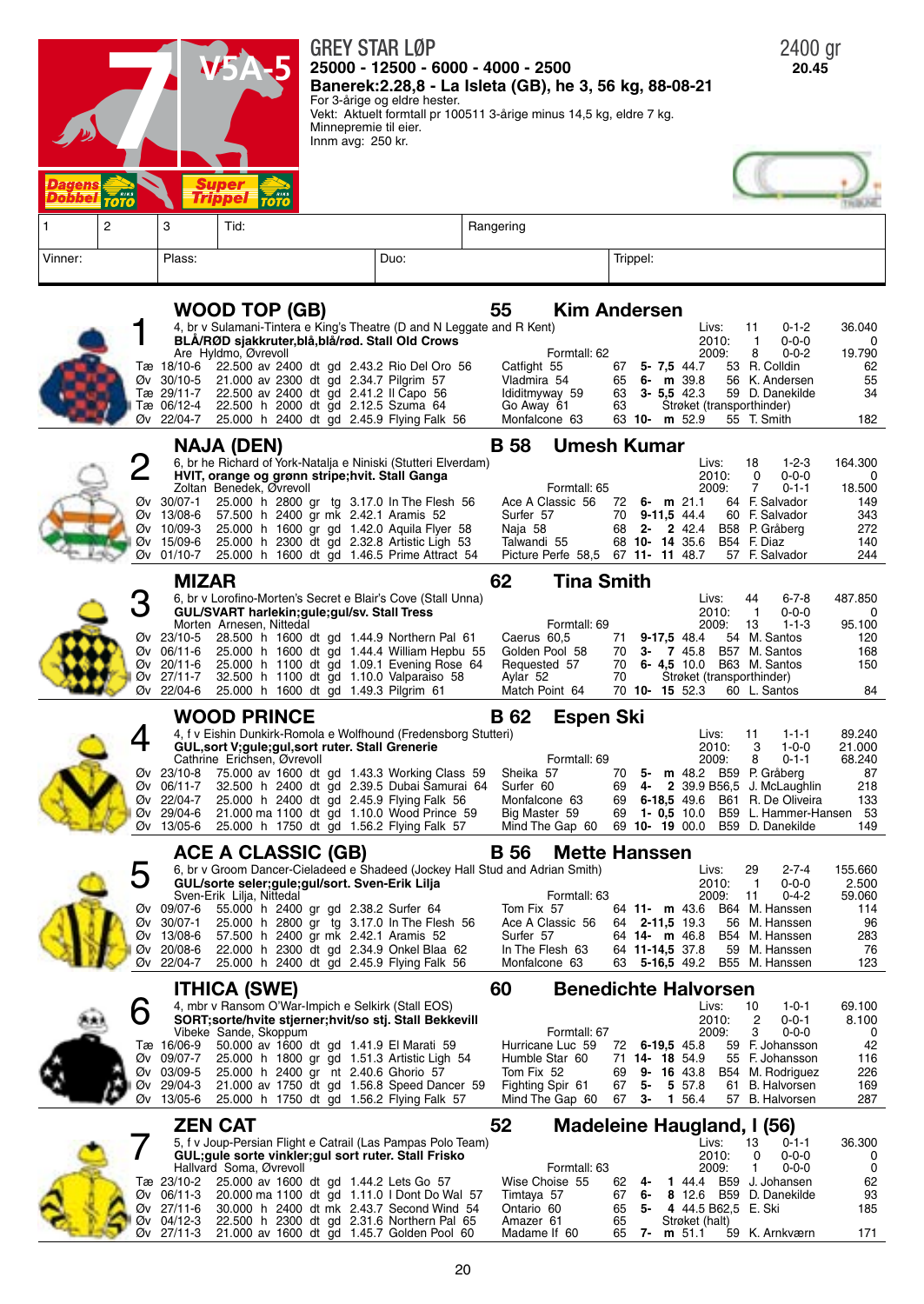

| SURT;SOFte/HVIte Stjerner;HVIt/SO Stj. Stall Bekkevill |                       |  |  |  |                                                        |  |                                                 |  |  | $\angle U \cup \angle$ |                            | - U-U- I                       | 0. I UU |
|--------------------------------------------------------|-----------------------|--|--|--|--------------------------------------------------------|--|-------------------------------------------------|--|--|------------------------|----------------------------|--------------------------------|---------|
|                                                        | Vibeke Sande, Skoppum |  |  |  |                                                        |  | Formtall: 67                                    |  |  | 2009:                  | $\overline{\phantom{a}}$ 3 | 0-0-0                          | - 0     |
|                                                        |                       |  |  |  | Tæ 16/06-9 50.000 av 1600 dt gd 1.41.9 El Marati 59    |  | Hurricane Luc 59 72 6-19.5 45.8 59 F. Johansson |  |  |                        |                            |                                | 42      |
|                                                        |                       |  |  |  | Øv 09/07-7 25.000 h 1800 gr gd 1.51.3 Artistic Ligh 54 |  | Humble Star 60 71 14 - 18 54.9 55 F. Johansson  |  |  |                        |                            |                                | 116     |
|                                                        |                       |  |  |  | Øv 03/09-5 25.000 h 2400 gr nt 2.40.6 Ghorio 57        |  | Tom Fix 52                                      |  |  |                        |                            | 69 9- 16 43.8 B54 M. Rodriguez | 226     |
|                                                        |                       |  |  |  | Øv 29/04-3 21.000 av 1750 dt gd 1.56.8 Speed Dancer 59 |  | Fighting Spir 61                                |  |  |                        |                            | 67 5 5 57.8 61 B. Halvorsen    | 169     |
|                                                        |                       |  |  |  | Øv 13/05-6 25.000 h 1750 dt gd 1.56.2 Flying Falk 57   |  | Mind The Gap 60 67 3- 1 56.4 57 B. Halvorsen    |  |  |                        |                            |                                | 287     |

5, f v Joup-Persian Flight e Catrail (Las Pampas Polo Team)<br>GUL;gule sorte vinkler;gul sort ruter. Stall Frisko

Tæ 23/10-2 25.000 av 1600 dt gd 1.44.2 Lets Go 57 Øv 06/11-3 20.000 ma 1100 dt gd 1.11.0 I Dont Do V Øv 06/11-3 20.000 ma 1100 dt gd 1.11.0 I Dont Do Wal 57 Timtaya 57 67 **6- 8** 12.6 B59 D. Danekilde 93 Øv 27/11-6 30.000 h 2400 dt mk 2.43.7 Second Wind 54<br>Øv 04/12-3 22.500 h 2300 dt gd 2.31.6 Northern Pal 65 Øv 04/12-3 22.500 h 2300 dt gd 2.31.6 Northern Pal 65 Amazer 61 <sup>65</sup>Strøket (halt) Øv 27/11-3 21.000 av 1600 dt gd 1.45.7 Golden Pool 60 Madame If 60 <sup>65</sup> **7- <sup>m</sup>** 51.1 59 K. Arnkværn <sup>171</sup>

Hallvard Soma, Øvrevoll<br>Tæ 23/10-2 25.000 av 1600

| <b>ZEN CAT</b> | Madeleine Haugland, I (56) |
|----------------|----------------------------|
|                |                            |

|                |    |    | Livs:                   |       | 13 | $0 - 1 - 1$     | 36,300 |
|----------------|----|----|-------------------------|-------|----|-----------------|--------|
|                |    |    |                         | 2010: | ŋ  | $0 - 0 - 0$     |        |
| Formtall: 63   |    |    | 2009:                   |       |    | $0 - 0 - 0$     |        |
| Wise Choise 55 | 62 | 4- | 1 44.4                  |       |    | B59 J. Johansen | 62     |
| Timtaya 57     | 67 | 6- | 8 12.6 B59 D. Danekilde |       |    |                 | 93     |
| Ontario 60     | 65 | 5- | 4 44.5 B62.5 E. Ski     |       |    |                 | 185    |
| Amazer 61      | 65 |    | Strøket (halt)          |       |    |                 |        |
| Madame If 60   | 65 |    | $m$ 51.1                |       |    | 59 K. Arnkværn  | 171    |